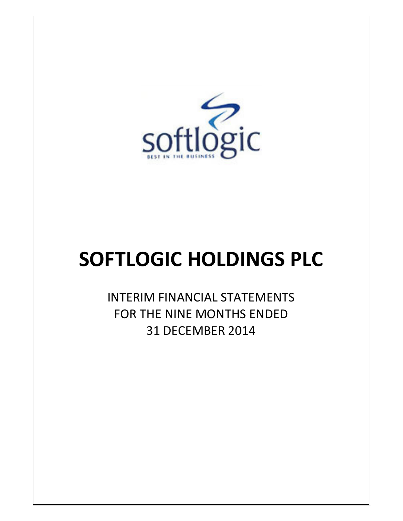

# SOFTLOGIC HOLDINGS PLC

INTERIM FINANCIAL STATEMENTS FOR THE NINE MONTHS ENDED 31 DECEMBER 2014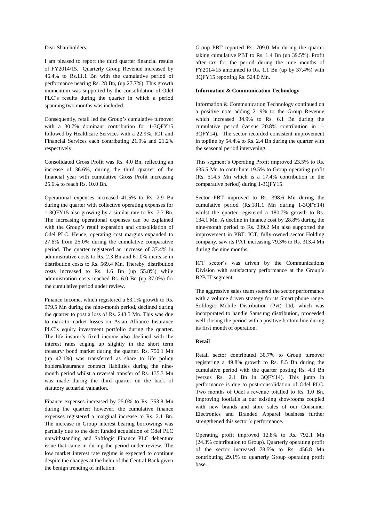Dear Shareholders,

I am pleased to report the third quarter financial results of FY2014/15. Quarterly Group Revenue increased by 46.4% to Rs.11.1 Bn with the cumulative period of performance nearing Rs. 28 Bn, (up 27.7%). This growth momentum was supported by the consolidation of Odel PLC"s results during the quarter in which a period spanning two months was included.

Consequently, retail led the Group"s cumulative turnover with a 30.7% dominant contribution for 1-3QFY15 followed by Healthcare Services with a 22.9%, ICT and Financial Services each contributing 21.9% and 21.2% respectively.

Consolidated Gross Profit was Rs. 4.0 Bn, reflecting an increase of 36.6%, during the third quarter of the financial year with cumulative Gross Profit increasing 25.6% to reach Rs. 10.0 Bn.

Operational expenses increased 41.5% to Rs. 2.9 Bn during the quarter with collective operating expenses for 1-3QFY15 also growing by a similar rate to Rs. 7.7 Bn. The increasing operational expenses can be explained with the Group"s retail expansion and consolidation of Odel PLC. Hence, operating cost margins expanded to 27.6% from 25.0% during the cumulative comparative period. The quarter registered an increase of 37.4% in administrative costs to Rs. 2.3 Bn and 61.0% increase in distribution costs to Rs. 569.4 Mn. Thereby, distribution costs increased to Rs. 1.6 Bn (up 55.8%) while administration costs reached Rs. 6.0 Bn (up 37.0%) for the cumulative period under review.

Finance Income, which registered a 63.1% growth to Rs. 979.5 Mn during the nine-month period, declined during the quarter to post a loss of Rs. 243.5 Mn. This was due to mark-to-market losses on Asian Alliance Insurance PLC"s equity investment portfolio during the quarter. The life insurer"s fixed income also declined with the interest rates edging up slightly in the short term treasury/ bond market during the quarter. Rs. 750.1 Mn (up 42.1%) was transferred as share to life policy holders/insurance contract liabilities during the ninemonth period whilst a reversal transfer of Rs. 135.3 Mn was made during the third quarter on the back of statutory actuarial valuation.

Finance expenses increased by 25.0% to Rs. 753.8 Mn during the quarter; however, the cumulative finance expenses registered a marginal increase to Rs. 2.1 Bn. The increase in Group interest bearing borrowings was partially due to the debt funded acquisition of Odel PLC notwithstanding and Softlogic Finance PLC debenture issue that came in during the period under review. The low market interest rate regime is expected to continue despite the changes at the helm of the Central Bank given the benign trending of inflation.

Group PBT reported Rs. 709.0 Mn during the quarter taking cumulative PBT to Rs. 1.4 Bn (up 39.5%). Profit after tax for the period during the nine months of FY2014/15 amounted to Rs. 1.1 Bn (up by 37.4%) with 3QFY15 reporting Rs. 524.0 Mn.

#### **Information & Communication Technology**

Information & Communication Technology continued on a positive note adding 21.9% to the Group Revenue which increased 34.9% to Rs. 6.1 Bn during the cumulative period (versus 20.8% contribution in 1- 3QFY14). The sector recorded consistent improvement in topline by 54.4% to Rs. 2.4 Bn during the quarter with the seasonal period intervening.

This segment's Operating Profit improved 23.5% to Rs. 635.5 Mn to contribute 19.5% to Group operating profit (Rs. 514.5 Mn which is a 17.4% contribution in the comparative period) during 1-3QFY15.

Sector PBT improved to Rs. 398.6 Mn during the cumulative period (Rs.181.1 Mn during 1-3QFY14) whilst the quarter registered a 180.7% growth to Rs. 134.1 Mn. A decline in finance cost by 28.8% during the nine-month period to Rs. 239.2 Mn also supported the improvement in PBT. ICT, fully-owned sector Holding company, saw its PAT increasing 79.3% to Rs. 313.4 Mn during the nine months.

ICT sector's was driven by the Communications Division with satisfactory performance at the Group"s B2B IT segment.

The aggressive sales team steered the sector performance with a volume driven strategy for its Smart phone range. Softlogic Mobile Distribution (Pvt) Ltd, which was incorporated to handle Samsung distribution, proceeded well closing the period with a positive bottom line during its first month of operation.

#### **Retail**

Retail sector contributed 30.7% to Group turnover registering a 49.8% growth to Rs. 8.5 Bn during the cumulative period with the quarter posting Rs. 4.3 Bn (versus Rs. 2.1 Bn in 3QFY14). This jump in performance is due to post-consolidation of Odel PLC. Two months of Odel"s revenue totalled to Rs. 1.0 Bn. Improving footfalls at our existing showrooms coupled with new brands and store sales of our Consumer Electronics and Branded Apparel business further strengthened this sector"s performance.

Operating profit improved 12.8% to Rs. 792.1 Mn (24.3% contribution to Group). Quarterly operating profit of the sector increased 78.5% to Rs. 456.8 Mn contributing 29.1% to quarterly Group operating profit base.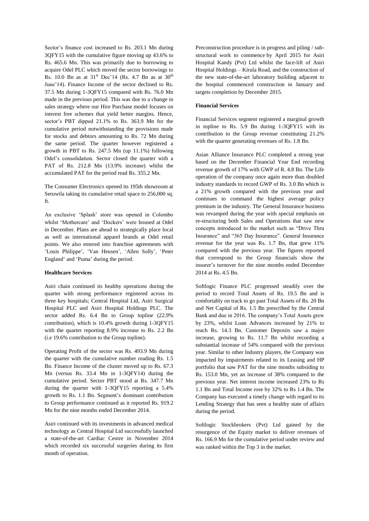Sector's finance cost increased to Rs. 203.1 Mn during 3QFY15 with the cumulative figure moving up 43.6% to Rs. 465.6 Mn. This was primarily due to borrowing to acquire Odel PLC which moved the sector borrowings to Rs. 10.0 Bn as at  $31^{st}$  Dec'14 (Rs. 4.7 Bn as at  $30^{th}$ June"14). Finance Income of the sector declined to Rs. 37.5 Mn during 1-3QFY15 compared with Rs. 76.0 Mn made in the previous period. This was due to a change in sales strategy where our Hire Purchase model focuses on interest free schemes that yield better margins. Hence, sector's PBT dipped 21.1% to Rs. 363.9 Mn for the cumulative period notwithstanding the provisions made for stocks and debtors amounting to Rs. 72 Mn during the same period. The quarter however registered a growth in PBT to Rs. 247.5 Mn (up 11.1%) following Odel"s consolidation. Sector closed the quarter with a PAT of Rs. 212.8 Mn (13.9% increase) whilst the accumulated PAT for the period read Rs. 355.2 Mn.

The Consumer Electronics opened its 195th showroom at Seruwila taking its cumulative retail space to 256,000 sq. ft.

An exclusive "Splash" store was opened in Colombo whilst 'Mothercare' and 'Dockers' were housed at Odel in December. Plans are ahead to strategically place local as well as international apparel brands at Odel retail points. We also entered into franchise agreements with 'Louis Philippe', 'Van Heusen', 'Allen Solly', 'Peter England" and "Puma" during the period.

#### **Healthcare Services**

Asiri chain continued its healthy operations during the quarter with strong performance registered across its three key hospitals; Central Hospital Ltd, Asiri Surgical Hospital PLC and Asiri Hospital Holdings PLC. The sector added Rs. 6.4 Bn to Group topline (22.9% contribution), which is 10.4% growth during 1-3QFY15 with the quarter reporting 8.9% increase to Rs. 2.2 Bn (i.e 19.6% contribution to the Group topline).

Operating Profit of the sector was Rs. 493.9 Mn during the quarter with the cumulative number reading Rs. 1.5 Bn. Finance Income of the cluster moved up to Rs. 67.3 Mn (versus Rs. 33.4 Mn in 1-3QFY14) during the cumulative period. Sector PBT stood at Rs. 347.7 Mn during the quarter with 1-3QFY15 reporting a 5.4% growth to Rs. 1.1 Bn. Segment"s dominant contribution to Group performance continued as it reported Rs. 919.2 Mn for the nine months ended December 2014.

Asiri continued with its investments in advanced medical technology as Central Hospital Ltd successfully launched a state-of-the-art Cardiac Centre in November 2014 which recorded six successful surgeries during its first month of operation.

Preconstruction procedure is in progress and piling / substructural work to commence by April 2015 for Asiri Hospital Kandy (Pvt) Ltd whilst the face-lift of Asiri Hospital Holdings – Kirula Road, and the construction of the new state-of-the-art laboratory building adjacent to the hospital commenced construction in January and targets completion by December 2015.

#### **Financial Services**

Financial Services segment registered a marginal growth in topline to Rs. 5.9 Bn during 1-3QFY15 with its contribution to the Group revenue constituting 21.2% with the quarter generating revenues of Rs. 1.8 Bn.

Asian Alliance Insurance PLC completed a strong year based on the December Financial Year End recording revenue growth of 17% with GWP of R. 4.8 Bn. The Life operation of the company once again more than doubled industry standards to record GWP of Rs. 3.0 Bn which is a 21% growth compared with the previous year and continues to command the highest average policy premium in the industry. The General Insurance business was revamped during the year with special emphasis on re-structuring both Sales and Operations that saw new concepts introduced to the market such as "Drive Thru Insurance" and "365 Day Insurance". General Insurance revenue for the year was Rs. 1.7 Bn, that grew 11% compared with the previous year. The figures reported that correspond to the Group financials show the insurer"s turnover for the nine months ended December 2014 at Rs. 4.5 Bn.

Softlogic Finance PLC progressed steadily over the period to record Total Assets of Rs. 19.5 Bn and is comfortably on track to go past Total Assets of Rs. 20 Bn and Net Capital of Rs. 1.5 Bn prescribed by the Central Bank and due in 2016. The company's Total Assets grew by 23%, whilst Loan Advances increased by 21% to reach Rs. 14.3 Bn. Customer Deposits saw a major increase, growing to Rs. 11.7 Bn whilst recording a substantial increase of 54% compared with the previous year. Similar to other Industry players, the Company was impacted by impairments related to its Leasing and HP portfolio that saw PAT for the nine months subsiding to Rs. 153.0 Mn, yet an increase of 38% compared to the previous year. Net interest income increased 23% to Rs 1.1 Bn and Total Income rose by 32% to Rs 1.4 Bn. The Company has executed a timely change with regard to its Lending Strategy that has seen a healthy state of affairs during the period.

Softlogic Stockbrokers (Pvt) Ltd gained by the resurgence of the Equity market to deliver revenues of Rs. 166.9 Mn for the cumulative period under review and was ranked within the Top 3 in the market.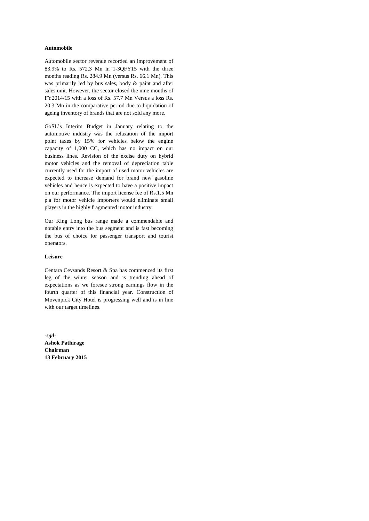#### **Automobile**

Automobile sector revenue recorded an improvement of 83.9% to Rs. 572.3 Mn in 1-3QFY15 with the three months reading Rs. 284.9 Mn (versus Rs. 66.1 Mn). This was primarily led by bus sales, body & paint and after sales unit. However, the sector closed the nine months of FY2014/15 with a loss of Rs. 57.7 Mn Versus a loss Rs. 20.3 Mn in the comparative period due to liquidation of ageing inventory of brands that are not sold any more.

GoSL"s Interim Budget in January relating to the automotive industry was the relaxation of the import point taxes by 15% for vehicles below the engine capacity of 1,000 CC, which has no impact on our business lines. Revision of the excise duty on hybrid motor vehicles and the removal of depreciation table currently used for the import of used motor vehicles are expected to increase demand for brand new gasoline vehicles and hence is expected to have a positive impact on our performance. The import license fee of Rs.1.5 Mn p.a for motor vehicle importers would eliminate small players in the highly fragmented motor industry.

Our King Long bus range made a commendable and notable entry into the bus segment and is fast becoming the bus of choice for passenger transport and tourist operators.

#### **Leisure**

Centara Ceysands Resort & Spa has commenced its first leg of the winter season and is trending ahead of expectations as we foresee strong earnings flow in the fourth quarter of this financial year. Construction of Movenpick City Hotel is progressing well and is in line with our target timelines.

*-sgd-***Ashok Pathirage Chairman 13 February 2015**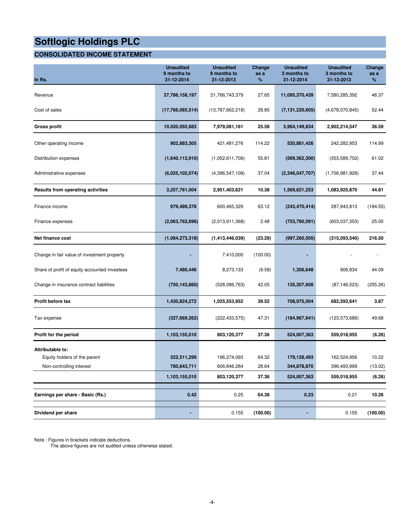#### **CONSOLIDATED INCOME STATEMENT**

| In Rs.                                                                       | <b>Unaudited</b><br>9 months to<br>31-12-2014 | <b>Unaudited</b><br>9 months to<br>31-12-2013 | Change<br>as a<br>%     | <b>Unaudited</b><br>3 months to<br>31-12-2014 | <b>Unaudited</b><br>3 months to<br>31-12-2013 | Change<br>as a<br>%        |
|------------------------------------------------------------------------------|-----------------------------------------------|-----------------------------------------------|-------------------------|-----------------------------------------------|-----------------------------------------------|----------------------------|
| Revenue                                                                      | 27,786,158,197                                | 21,766,743,379                                | 27.65                   | 11,095,370,439                                | 7,580,285,392                                 | 46.37                      |
| Cost of sales                                                                | (17,766,065,514)                              | (13,787,662,218)                              | 28.85                   | (7, 131, 220, 605)                            | (4,678,070,845)                               | 52.44                      |
| Gross profit                                                                 | 10,020,092,683                                | 7,979,081,161                                 | 25.58                   | 3,964,149,834                                 | 2,902,214,547                                 | 36.59                      |
| Other operating income                                                       | 902,883,305                                   | 421,481,276                                   | 114.22                  | 520,881,426                                   | 242,282,953                                   | 114.99                     |
| Distribution expenses                                                        | (1,640,112,910)                               | (1,052,611,708)                               | 55.81                   | (569, 362, 300)                               | (353, 589, 702)                               | 61.02                      |
| Administrative expenses                                                      | (6,025,102,074)                               | (4,396,547,108)                               | 37.04                   | (2,346,047,707)                               | (1,706,981,928)                               | 37.44                      |
| <b>Results from operating activities</b>                                     | 3,257,761,004                                 | 2,951,403,621                                 | 10.38                   | 1,569,621,253                                 | 1,083,925,870                                 | 44.81                      |
| Finance income                                                               | 979,489,378                                   | 600,465,329                                   | 63.12                   | (243, 470, 414)                               | 287,943,813                                   | (184.55)                   |
| Finance expenses                                                             | (2,063,762,696)                               | (2,013,911,368)                               | 2.48                    | (753, 790, 091)                               | (603,037,353)                                 | 25.00                      |
| Net finance cost                                                             | (1,084,273,318)                               | (1,413,446,039)                               | (23.29)                 | (997, 260, 505)                               | (315,093,540)                                 | 216.50                     |
| Change in fair value of investment property                                  |                                               | 7,410,000                                     | (100.00)                |                                               |                                               |                            |
| Share of profit of equity accounted investees                                | 7,480,446                                     | 8,273,133                                     | (9.58)                  | 1,306,648                                     | 906,834                                       | 44.09                      |
| Change in insurance contract liabilities                                     | (750, 143, 860)                               | (528,086,763)                                 | 42.05                   | 135,307,608                                   | (87, 146, 523)                                | (255.26)                   |
| Profit before tax                                                            | 1,430,824,272                                 | 1,025,553,952                                 | 39.52                   | 708,975,004                                   | 682,592,641                                   | 3.87                       |
| Tax expense                                                                  | (327, 669, 262)                               | (222, 433, 575)                               | 47.31                   | (184, 967, 641)                               | (123, 573, 686)                               | 49.68                      |
| Profit for the period                                                        | 1,103,155,010                                 | 803,120,377                                   | 37.36                   | 524,007,363                                   | 559,018,955                                   | (6.26)                     |
| Attributable to:<br>Equity holders of the parent<br>Non-controlling interest | 322,511,299<br>780,643,711<br>1,103,155,010   | 196,274,093<br>606,846,284<br>803,120,377     | 64.32<br>28.64<br>37.36 | 179,128,493<br>344,878,870<br>524,007,363     | 162,524,956<br>396,493,999<br>559,018,955     | 10.22<br>(13.02)<br>(6.26) |
| Earnings per share - Basic (Rs.)                                             | 0.42                                          | 0.25                                          | 64.38                   | 0.23                                          | 0.21                                          | 10.26                      |
| Dividend per share                                                           |                                               | 0.155                                         | (100.00)                |                                               | 0.155                                         | (100.00)                   |

Note : Figures in brackets indicate deductions.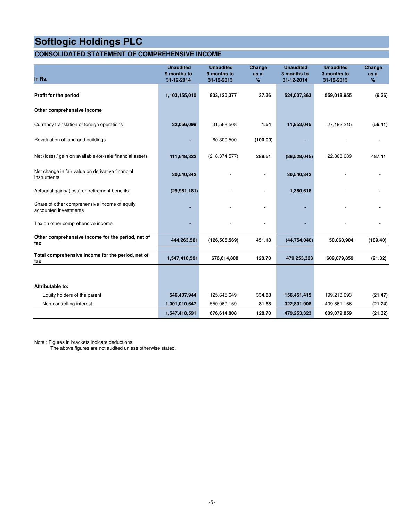#### **CONSOLIDATED STATEMENT OF COMPREHENSIVE INCOME**

| In Rs.                                                                 | <b>Unaudited</b><br>9 months to<br>31-12-2014 | <b>Unaudited</b><br>9 months to<br>31-12-2013 | Change<br>as a<br>% | <b>Unaudited</b><br>3 months to<br>31-12-2014 | <b>Unaudited</b><br>3 months to<br>31-12-2013 | Change<br>as a<br>% |
|------------------------------------------------------------------------|-----------------------------------------------|-----------------------------------------------|---------------------|-----------------------------------------------|-----------------------------------------------|---------------------|
| Profit for the period                                                  | 1,103,155,010                                 | 803,120,377                                   | 37.36               | 524,007,363                                   | 559,018,955                                   | (6.26)              |
| Other comprehensive income                                             |                                               |                                               |                     |                                               |                                               |                     |
| Currency translation of foreign operations                             | 32,056,098                                    | 31,568,508                                    | 1.54                | 11,853,045                                    | 27,192,215                                    | (56.41)             |
| Revaluation of land and buildings                                      |                                               | 60,300,500                                    | (100.00)            |                                               |                                               |                     |
| Net (loss) / gain on available-for-sale financial assets               | 411,648,322                                   | (218, 374, 577)                               | 288.51              | (88,528,045)                                  | 22,868,689                                    | 487.11              |
| Net change in fair value on derivative financial<br>instruments        | 30,540,342                                    |                                               |                     | 30,540,342                                    |                                               |                     |
| Actuarial gains/ (loss) on retirement benefits                         | (29, 981, 181)                                |                                               |                     | 1,380,618                                     |                                               |                     |
| Share of other comprehensive income of equity<br>accounted investments |                                               |                                               |                     |                                               |                                               |                     |
| Tax on other comprehensive income                                      |                                               |                                               |                     |                                               |                                               |                     |
| Other comprehensive income for the period, net of<br>tax               | 444,263,581                                   | (126, 505, 569)                               | 451.18              | (44, 754, 040)                                | 50,060,904                                    | (189.40)            |
| Total comprehensive income for the period, net of                      | 1,547,418,591                                 | 676,614,808                                   | 128.70              | 479,253,323                                   | 609,079,859                                   | (21.32)             |
| tax                                                                    |                                               |                                               |                     |                                               |                                               |                     |
|                                                                        |                                               |                                               |                     |                                               |                                               |                     |
| Attributable to:                                                       |                                               |                                               |                     |                                               |                                               |                     |
| Equity holders of the parent                                           | 546,407,944                                   | 125,645,649                                   | 334.88              | 156,451,415                                   | 199,218,693                                   | (21.47)             |
| Non-controlling interest                                               | 1,001,010,647                                 | 550,969,159                                   | 81.68               | 322,801,908                                   | 409,861,166                                   | (21.24)             |
|                                                                        | 1,547,418,591                                 | 676,614,808                                   | 128.70              | 479,253,323                                   | 609,079,859                                   | (21.32)             |

Note : Figures in brackets indicate deductions.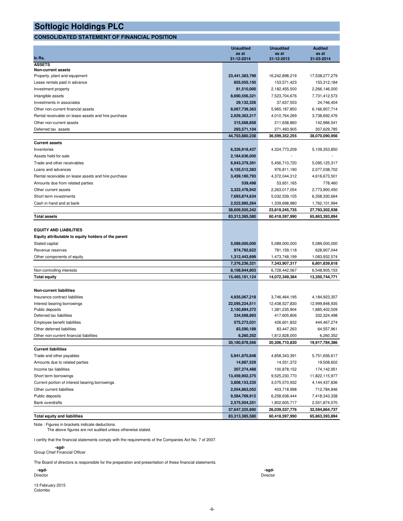#### **CONSOLIDATED STATEMENT OF FINANCIAL POSITION**

|                                                     | <b>Unaudited</b>    | <b>Unaudited</b>    | <b>Audited</b>      |
|-----------------------------------------------------|---------------------|---------------------|---------------------|
| In Rs.                                              | as at<br>31-12-2014 | as at<br>31-12-2013 | as at<br>31-03-2014 |
| <b>ASSETS</b>                                       |                     |                     |                     |
| <b>Non-current assets</b>                           |                     |                     |                     |
| Property, plant and equipment                       | 23,441,383,799      | 16,242,898,219      | 17,538,277,279      |
| Lease rentals paid in advance                       | 855,055,150         | 153,571,423         | 153,312,184         |
| Investment property                                 | 81,510,000          | 2,182,455,500       | 2,266,146,000       |
| Intangible assets                                   | 8,690,556,321       | 7,523,704,676       | 7,731,412,573       |
| Investments in associates                           | 29,132,326          | 37,637,553          | 24,746,404          |
| Other non-current financial assets                  | 8,067,739,363       | 5,965,187,850       | 6,166,907,714       |
| Rental receivable on lease assets and hire purchase | 2,929,363,317       | 4,010,764,269       | 3,738,692,476       |
| Other non-current assets                            | 315,568,858         | 211,638,860         | 142,966,541         |
| Deferred tax assets                                 | 293,571,104         | 271,493,905         | 307,629,785         |
|                                                     | 44,703,880,238      | 36,599,352,255      | 38,070,090,956      |
| <b>Current assets</b>                               |                     |                     |                     |
| Inventories                                         | 6,326,918,437       | 4,324,773,209       | 5,109,353,850       |
| Assets held-for-sale                                | 2,184,636,000       |                     |                     |
| Trade and other receivables                         | 6,943,379,391       | 5,456,710,720       | 5,095,125,317       |
| Loans and advances                                  | 6,155,512,383       | 976,811,190         | 2,077,038,702       |
| Rental receivable on lease assets and hire purchase | 3,459,180,793       | 4,372,044,312       | 4,616,673,501       |
| Amounts due from related parties                    | 539,498             | 53,651,165          | 778,460             |
| Other current assets                                | 3,322,478,942       | 2,263,017,054       | 2,773,900,450       |
| Short term investments                              | 7,693,874,634       | 5,032,539,105       | 6,358,330,664       |
| Cash in hand and at bank                            | 2,522,985,264       | 1,339,698,980       | 1,762,101,994       |
|                                                     | 38,609,505,342      | 23,819,245,735      | 27,793,302,938      |
| Total assets                                        | 83,313,385,580      | 60,418,597,990      | 65,863,393,894      |
|                                                     |                     |                     |                     |
| <b>EQUITY AND LIABILITIES</b>                       |                     |                     |                     |
| Equity attributable to equity holders of the parent |                     |                     |                     |
| Stated capital                                      | 5,089,000,000       | 5,089,000,000       | 5,089,000,000       |
| Revenue reserves                                    | 974,792,622         | 781,159,118         | 628,907,044         |
| Other components of equity                          | 1,312,443,699       | 1,473,748,199       | 1,083,932,574       |
|                                                     | 7,376,236,321       | 7,343,907,317       | 6,801,839,618       |
| Non-controlling interests                           | 8,108,944,803       | 6,728,442,067       | 6,548,905,153       |
| <b>Total equity</b>                                 | 15,485,181,124      | 14,072,349,384      | 13,350,744,771      |
|                                                     |                     |                     |                     |
| <b>Non-current liabilities</b>                      |                     |                     |                     |
| Insurance contract liabilities                      | 4,935,067,218       | 3,746,464,195       | 4,184,923,357       |
| Interest bearing borrowings                         | 22,095,224,511      | 12,438,527,830      | 12,999,848,935      |
| Public deposits                                     | 2,150,894,372       | 1,381,235,904       | 1,885,402,009       |
| Deferred tax liabilities                            | 334,568,893         | 417,605,806         | 332,324,498         |
| Employee benefit liabilities                        | 575,273,031         | 426,601,832         | 444,467,274         |
| Other deferred liabilities                          | 83,590,189          | 83,447,263          | 64,557,961          |
| Other non-current financial liabilities             | 6,260,352           | 1,812,828,000       | 6,260,352           |
|                                                     | 30,180,878,566      | 20,306,710,830      | 19,917,784,386      |
| <b>Current liabilities</b>                          |                     |                     |                     |
| Trade and other payables                            | 5,941,870,848       | 4,858,343,391       | 5,751,656,617       |
| Amounts due to related parties                      | 14,987,529          | 14,551,372          | 19,508,602          |
| Income tax liabilities                              | 207,274,488         | 100,878,152         | 174,142,951         |
| Short term borrowings                               | 13,459,902,375      | 9,525,230,770       | 11,822,115,977      |
| Current portion of interest bearing borrowings      | 3,808,153,335       | 3,075,570,932       | 4,144,437,836       |
| Other current liabilities                           | 2,054,863,052       | 403,718,998         | 712,784,846         |
| Public deposits                                     | 9,584,769,912       | 6,258,638,444       | 7,418,343,338       |
| <b>Bank overdrafts</b>                              | 2,575,504,351       | 1,802,605,717       | 2,551,874,570       |
|                                                     | 37,647,325,890      | 26,039,537,776      | 32,594,864,737      |
| <b>Total equity and liabilities</b>                 | 83,313,385,580      | 60,418,597,990      | 65,863,393,894      |

Note : Figures in brackets indicate deductions. The above figures are not audited unless otherwise stated.

I certify that the financial statements comply with the requirements of the Companies Act No. 7 of 2007.

#### **-sgd-**Group Chief Financial Officer

The Board of directors is responsible for the preparation and presentation of these financial statements.

 **-sgd- -sgd-**Director Director

13 February 2015 Colombo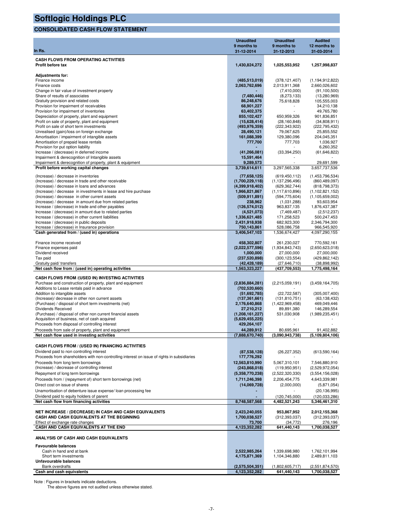#### **CONSOLIDATED CASH FLOW STATEMENT**

| In Rs.                                                                                                       | <b>Unaudited</b><br>9 months to<br>31-12-2014 | <b>Unaudited</b><br>9 months to<br>31-12-2013 | <b>Audited</b><br>12 months to<br>31-03-2014 |
|--------------------------------------------------------------------------------------------------------------|-----------------------------------------------|-----------------------------------------------|----------------------------------------------|
| <b>CASH FLOWS FROM OPERATING ACTIVITIES</b>                                                                  |                                               |                                               |                                              |
| Profit before tax                                                                                            | 1,430,824,272                                 | 1,025,553,952                                 | 1,257,998,837                                |
| <b>Adjustments for:</b>                                                                                      |                                               |                                               |                                              |
| Finance income<br>Finance costs                                                                              | (485, 513, 019)<br>2,063,762,696              | (378, 121, 407)<br>2,013,911,368              | (1, 194, 912, 822)<br>2,660,026,602          |
| Change in fair value of investment property                                                                  |                                               | (7,410,000)                                   | (91, 100, 500)                               |
| Share of results of associates                                                                               | (7,480,446)                                   | (8,273,133)                                   | (13,280,969)                                 |
| Gratuity provision and related costs                                                                         | 86,248,676                                    | 75,618,828                                    | 105,555,003                                  |
| Provision for impairment of receivables<br>Provision for impairment of inventories                           | 68,901,227<br>63,402,375                      |                                               | 34,210,138<br>49,765,780                     |
| Depreciation of property, plant and equipment                                                                | 855,102,427                                   | 650,959,326                                   | 901,836,851                                  |
| Profit on sale of property, plant and equipment                                                              | (15,628,414)                                  | (28, 160, 848)                                | (34,808,911)                                 |
| Profit on sale of short term investments                                                                     | (493,976,359)                                 | (222, 343, 922)                               | (222,795,432)                                |
| Unrealised (gain)/loss on foreign exchange<br>Amortisation / impairment of intangible assets                 | 28,490,121<br>161,088,399                     | 79,067,625<br>129,380,096                     | 25,855,552<br>204,045,351                    |
| Amortisation of prepaid lease rentals                                                                        | 777,700                                       | 777,703                                       | 1,036,927                                    |
| Provision for put option liability                                                                           |                                               |                                               | 6,260,352                                    |
| Increase / (decrease) in deferred income                                                                     | (41, 266, 081)                                | (33, 394, 250)                                | (61, 646, 822)                               |
| Impairment & derecognition of Intangible assets<br>Impairment & derecognition of property, plant & equipment | 15,591,464<br>9,289,573                       |                                               | 29,691,599                                   |
| Profit before working capital changes                                                                        | 3,739,614,611                                 | 3,297,565,338                                 | 3,657,737,536                                |
| (Increase) / decrease in inventories                                                                         | (77,658,125)                                  | (619, 450, 112)                               | (1,453,796,534)                              |
| (Increase) / decrease in trade and other receivable                                                          | (1,700,229,118)                               | (1, 137, 296, 496)                            | (860, 489, 097)                              |
| (Increase) / decrease in loans and advances                                                                  | (4,399,918,402)                               | (629, 362, 744)                               | (818, 798, 373)                              |
| (Increase) / decrease in investments in lease and hire purchase                                              | 1,966,821,867                                 | (1, 117, 610, 896)                            | (1, 102, 821, 152)                           |
| (Increase) / decrease in other current assets<br>(Increase) / decrease in amount due from related parties    | (509, 911, 891)<br>238,962                    | (594, 775, 604)<br>(1,031,288)                | (1, 105, 659, 002)<br>93,603,954             |
| Increase / (decrease) in trade and other payables                                                            | (126, 574, 012)                               | 963,837,135                                   | 1,876,437,387                                |
| Increase / (decrease) in amount due to related parties                                                       | (4,521,073)                                   | (7,469,487)                                   | (2,512,237)                                  |
| Increase / (decrease) in other current liabilities                                                           | 1,336,621,485                                 | 171,258,523                                   | 500,247,453                                  |
| Increase / (decrease) in public deposits                                                                     | 2,431,918,938                                 | 682,923,300                                   | 2,346,794,300                                |
| Increase / (decrease) in Insurance provision<br>Cash generated from / (used in) operations                   | 750,143,861<br>3,406,547,103                  | 528,086,758<br>1,536,674,427                  | 966,545,920<br>4,097,290,155                 |
|                                                                                                              |                                               |                                               |                                              |
| Finance income received                                                                                      | 458,302,807                                   | 261,230,027                                   | 770,592,161                                  |
| Finance expenses paid<br>Dividend received                                                                   | (2,022,577,596)<br>1,000,000                  | (1,934,843,743)<br>27,000,000                 | (2,650,623,018)<br>27,000,000                |
| Tax paid                                                                                                     | (237, 520, 898)                               | (300, 123, 554)                               | (429, 862, 142)                              |
| Gratuity paid/ transfers                                                                                     | (42, 428, 189)                                | (27,646,710)                                  | (38,898,992)                                 |
| Net cash flow from / (used in) operating activities                                                          | 1,563,323,227                                 | (437,709,553)                                 | 1,775,498,164                                |
| CASH FLOWS FROM /(USED IN) INVESTING ACTIVITIES                                                              |                                               |                                               |                                              |
| Purchase and construction of property, plant and equipment                                                   | (2,836,884,281)                               | (2,215,059,191)                               | (3,459,164,705)                              |
| Additions to Lease rentals paid in advance<br>Addition to intangible assets                                  | (702, 520, 660)<br>(51,692,785)               | (22, 722, 587)                                | (305,007,400)                                |
| (Increase)/ decrease in other non current assets                                                             | (137, 361, 661)                               | (131, 810, 751)                               | (63, 138, 432)                               |
| (Purchase) / disposal of short term investments (net)                                                        | 2,176,640,868                                 | (1,422,969,458)                               | 469,049,446                                  |
| Dividends Received                                                                                           | 27,210,212                                    | 89,891,380                                    | 146,289,554                                  |
| (Purchase) / disposal of other non current financial assets<br>Acquisition of business, net of cash acquired | (1,208,161,227)<br>(5,629,455,225)            | 531,030,908                                   | (1,989,235,451)                              |
| Proceeds from disposal of controlling interest                                                               | 429,264,107                                   |                                               |                                              |
| Proceeds from sale of property, plant and equipment                                                          | 44.289.912                                    | 80 695 961                                    | 91 402 882                                   |
| Net cash flow used in investing activities                                                                   | (7,888,670,740)                               | (3,090,943,738)                               | (5, 109, 804, 106)                           |
| CASH FLOWS FROM / (USED IN) FINANCING ACTIVITIES                                                             |                                               |                                               |                                              |
| Dividend paid to non controlling interest                                                                    | (87, 538, 128)                                | (26, 227, 352)                                | (613, 590, 164)                              |
| Proceeds from shareholders with non-controlling interest on issue of rights in subsidiaries                  | 177,776,292                                   |                                               |                                              |
| Proceeds from long term borrowings                                                                           | 12,563,810,990                                | 5,067,310,101                                 | 7,546,880,910                                |
| (Increase) / decrease of controlling interest<br>Repayment of long term borrowings                           | (243,868,018)<br>(5,358,770,238)              | (119,950,951)<br>(2,522,320,330)              | (2,529,972,054)<br>(3,554,156,028)           |
| Proceeds from / (repayment of) short term borrowings (net)                                                   | 1,711,246,398                                 | 2,206,454,775                                 | 4,643,339,981                                |
| Direct cost on issue of shares                                                                               | (14,069,728)                                  | (2,000,000)                                   | (5,871,054)                                  |
| Unamortisation of debenture issue expense/ loan processing fee                                               |                                               |                                               | (20, 136, 995)                               |
| Dividend paid to equity holders of parent                                                                    |                                               | (120, 745, 000)                               | (120, 033, 286)                              |
| Net cash flow from financing activities                                                                      | 8,748,587,568                                 | 4,482,521,243                                 | 5,346,461,310                                |
| NET INCREASE / (DECREASE) IN CASH AND CASH EQUIVALENTS                                                       | 2,423,240,055                                 | 953,867,952                                   | 2,012,155,368                                |
| CASH AND CASH EQUIVALENTS AT THE BEGINNING                                                                   | 1,700,038,527                                 | (312, 393, 037)                               | (312, 393, 037)                              |
| Effect of exchange rate changes<br>CASH AND CASH EQUIVALENTS AT THE END                                      | 73,700<br>4,123,352,282                       | (34, 772)<br>641,440,143                      | 276,196<br>1,700,038,527                     |
| ANALYSIS OF CASH AND CASH EQUIVALENTS                                                                        |                                               |                                               |                                              |
| <b>Favourable balances</b>                                                                                   |                                               |                                               |                                              |
| Cash in hand and at bank                                                                                     | 2,522,985,264                                 | 1,339,698,980                                 | 1,762,101,994                                |
| Short term investments                                                                                       | 4,175,871,369                                 | 1,104,346,880                                 | 2,489,811,103                                |
| Unfavourable balances<br><b>Bank overdrafts</b>                                                              | (2,575,504,351)                               | (1,802,605,717)                               | (2,551,874,570)                              |
| Cash and cash equivalents                                                                                    | 4,123,352,282                                 | 641,440,143                                   | 1,700,038,527                                |

Note : Figures in brackets indicate deductions. The above figures are not audited unless otherwise stated.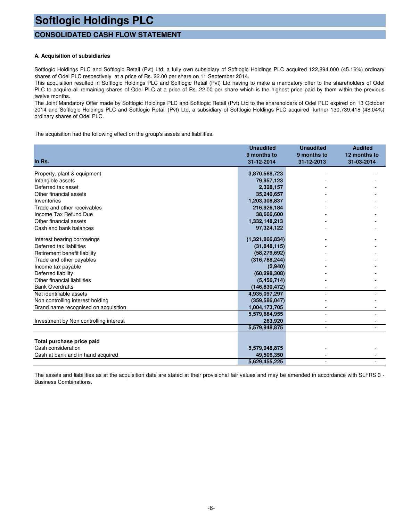#### **CONSOLIDATED CASH FLOW STATEMENT**

#### **A. Acquisition of subsidiaries**

Softlogic Holdings PLC and Softlogic Retail (Pvt) Ltd, a fully own subsidiary of Softlogic Holdings PLC acquired 122,894,000 (45.16%) ordinary shares of Odel PLC respectively at a price of Rs. 22.00 per share on 11 September 2014.

This acquisition resulted in Softlogic Holdings PLC and Softlogic Retail (Pvt) Ltd having to make a mandatory offer to the shareholders of Odel PLC to acquire all remaining shares of Odel PLC at a price of Rs. 22.00 per share which is the highest price paid by them within the previous twelve months.

The Joint Mandatory Offer made by Softlogic Holdings PLC and Softlogic Retail (Pvt) Ltd to the shareholders of Odel PLC expired on 13 October 2014 and Softlogic Holdings PLC and Softlogic Retail (Pvt) Ltd, a subsidiary of Softlogic Holdings PLC acquired further 130,739,418 (48.04%) ordinary shares of Odel PLC.

The acquisition had the following effect on the group's assets and liabilities.

|                                        | <b>Unaudited</b> | <b>Unaudited</b> | <b>Audited</b> |
|----------------------------------------|------------------|------------------|----------------|
|                                        | 9 months to      | 9 months to      | 12 months to   |
| In Rs.                                 | 31-12-2014       | 31-12-2013       | 31-03-2014     |
| Property, plant & equipment            | 3,870,568,723    |                  |                |
| Intangible assets                      | 79,957,123       |                  |                |
| Deferred tax asset                     | 2,328,157        |                  |                |
| Other financial assets                 | 35,240,657       |                  |                |
| Inventories                            | 1,203,308,837    |                  |                |
| Trade and other receivables            | 216,926,184      |                  |                |
| Income Tax Refund Due                  | 38,666,600       |                  |                |
| Other financial assets                 | 1,332,148,213    |                  |                |
| Cash and bank balances                 | 97,324,122       |                  |                |
| Interest bearing borrowings            | (1,321,866,834)  |                  |                |
| Deferred tax liabilities               | (31,848,115)     |                  |                |
| Retirement benefit liability           | (58, 279, 692)   |                  |                |
| Trade and other payables               | (316, 788, 244)  |                  |                |
| Income tax payable                     | (2,940)          |                  |                |
| Deferred liability                     | (60, 298, 308)   |                  |                |
| Other financial liabilities            | (5,456,714)      |                  |                |
| <b>Bank Overdrafts</b>                 | (146, 830, 472)  |                  |                |
| Net identifiable assets                | 4,935,097,297    |                  |                |
| Non controlling interest holding       | (359, 586, 047)  |                  |                |
| Brand name recognised on acquisition   | 1,004,173,705    |                  |                |
|                                        | 5,579,684,955    |                  |                |
| Investment by Non controlling interest | 263,920          |                  |                |
|                                        | 5,579,948,875    | $\blacksquare$   |                |
|                                        |                  |                  |                |
| Total purchase price paid              |                  |                  |                |
| Cash consideration                     | 5,579,948,875    |                  |                |
| Cash at bank and in hand acquired      | 49,506,350       |                  |                |
|                                        | 5,629,455,225    |                  |                |

The assets and liabilities as at the acquisition date are stated at their provisional fair values and may be amended in accordance with SLFRS 3 - Business Combinations.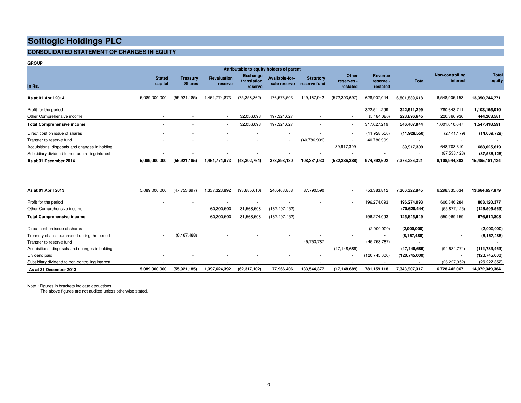#### **CONSOLIDATED STATEMENT OF CHANGES IN EQUITY**

|                                                 |                          | Attributable to equity holders of parent |                               |                                    |                                |                                  |                                 |                                         |               |                             |                 |
|-------------------------------------------------|--------------------------|------------------------------------------|-------------------------------|------------------------------------|--------------------------------|----------------------------------|---------------------------------|-----------------------------------------|---------------|-----------------------------|-----------------|
| In Rs.                                          | <b>Stated</b><br>capital | Treasury<br><b>Shares</b>                | <b>Revaluation</b><br>reserve | Exchange<br>translation<br>reserve | Available-for-<br>sale reserve | <b>Statutory</b><br>reserve fund | Other<br>reserves -<br>restated | <b>Revenue</b><br>reserve -<br>restated | <b>Total</b>  | Non-controlling<br>interest | Total<br>equity |
| As at 01 April 2014                             | 5,089,000,000            | (55, 921, 185)                           | 1,461,774,873                 | (75, 358, 862)                     | 176,573,503                    | 149, 167, 942                    | (572, 303, 697)                 | 628,907,044                             | 6,801,839,618 | 6,548,905,153               | 13,350,744,771  |
| Profit for the period                           | $\blacksquare$           |                                          | $\overline{\phantom{a}}$      |                                    |                                |                                  | $\sim$                          | 322,511,299                             | 322,511,299   | 780,643,711                 | 1,103,155,010   |
| Other Comprehensive income                      | $\sim$                   |                                          | $\sim$                        | 32,056,098                         | 197,324,627                    |                                  | $\sim$                          | (5,484,080)                             | 223,896,645   | 220,366,936                 | 444,263,581     |
| <b>Total Comprehensive income</b>               | $\overline{\phantom{0}}$ |                                          | $\overline{\phantom{a}}$      | 32,056,098                         | 197,324,627                    |                                  | $\sim$                          | 317,027,219                             | 546,407,944   | 1,001,010,647               | 1,547,418,591   |
| Direct cost on issue of shares                  |                          |                                          |                               |                                    | $\overline{\phantom{a}}$       |                                  | $\overline{\phantom{a}}$        | (11,928,550)                            | (11,928,550)  | (2, 141, 179)               | (14,069,729)    |
| Transfer to reserve fund                        | $\overline{\phantom{0}}$ |                                          | $\overline{\phantom{a}}$      | $\overline{\phantom{a}}$           | $\overline{\phantom{a}}$       | (40,786,909)                     | $\overline{\phantom{a}}$        | 40,786,909                              |               |                             |                 |
| Acquisitions, disposals and changes in holding  |                          |                                          |                               |                                    | $\overline{\phantom{0}}$       | $\overline{\phantom{a}}$         | 39,917,309                      | $\overline{a}$                          | 39,917,309    | 648,708,310                 | 688,625,619     |
| Subsidiary dividend to non-controlling interest |                          |                                          |                               |                                    |                                |                                  |                                 |                                         |               | (87,538,128)                | (87,538,128)    |
| As at 31 December 2014                          | 5,089,000,000            | (55, 921, 185)                           | 1.461.774.873                 | (43, 302, 764)                     | 373,898,130                    | 108,381,033                      | (532, 386, 388)                 | 974,792,622                             | 7,376,236,321 | 8,108,944,803               | 15,485,181,124  |

| As at 01 April 2013                             | 5,089,000,000            | (47,753,697)   | 1,337,323,892            | (93,885,610)             | 240,463,858              | 87,790,590  | $\sim$                   | 753,383,812              | 7,366,322,845   | 6,298,335,034  | 13,664,657,879  |
|-------------------------------------------------|--------------------------|----------------|--------------------------|--------------------------|--------------------------|-------------|--------------------------|--------------------------|-----------------|----------------|-----------------|
| Profit for the period                           | $\overline{\phantom{0}}$ |                | $\overline{\phantom{0}}$ |                          |                          |             | $\overline{\phantom{a}}$ | 196,274,093              | 196.274.093     | 606.846.284    | 803,120,377     |
| Other Comprehensive income                      |                          |                | 60,300,500               | 31,568,508               | (162, 497, 452)          |             |                          |                          | (70, 628, 444)  | (55, 877, 125) | (126, 505, 569) |
| <b>Total Comprehensive income</b>               |                          |                | 60,300,500               | 31,568,508               | (162, 497, 452)          |             | $\overline{\phantom{a}}$ | 196,274,093              | 125,645,649     | 550,969,159    | 676,614,808     |
| Direct cost on issue of shares                  |                          |                |                          |                          |                          |             |                          | (2,000,000)              | (2,000,000)     |                | (2,000,000)     |
| Treasury shares purchased during the period     | $\sim$                   | (8, 167, 488)  | $\overline{\phantom{0}}$ | $\overline{\phantom{0}}$ | $\overline{\phantom{0}}$ |             | $\sim$                   | $\overline{\phantom{a}}$ | (8, 167, 488)   | ۰              | (8, 167, 488)   |
| Transfer to reserve fund                        |                          |                | $\overline{\phantom{0}}$ |                          | $\overline{\phantom{a}}$ | 45,753,787  |                          | (45, 753, 787)           |                 | $\blacksquare$ |                 |
| Acquisitions, disposals and changes in holding  |                          |                |                          |                          | $\overline{\phantom{0}}$ |             | (17, 148, 689)           | $\blacksquare$           | (17, 148, 689)  | (94, 634, 774) | (111, 783, 463) |
| Dividend paid                                   |                          |                | $\overline{\phantom{0}}$ | $\overline{\phantom{0}}$ |                          |             | $\sim$                   | (120, 745, 000)          | (120, 745, 000) | $\blacksquare$ | (120, 745, 000) |
| Subsidiary dividend to non-controlling interest |                          |                |                          |                          |                          |             |                          |                          |                 | (26, 227, 352) | (26, 227, 352)  |
| As at 31 December 2013                          | 5.089.000.000            | (55, 921, 185) | 1,397,624,392            | (62, 317, 102)           | 77,966,406               | 133,544,377 | (17, 148, 689)           | 781.159.118              | 7,343,907,317   | 6,728,442,067  | 14,072,349,384  |

Note : Figures in brackets indicate deductions.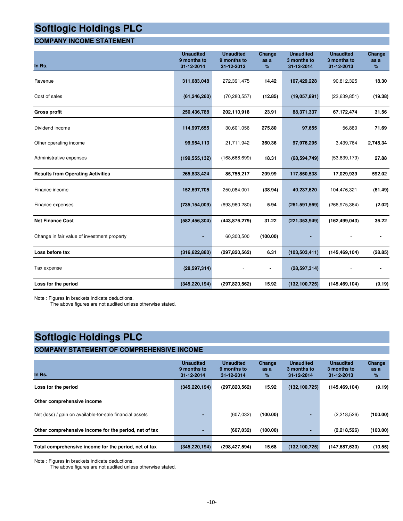#### **COMPANY INCOME STATEMENT**

| In Rs.                                      | <b>Unaudited</b><br>9 months to<br>31-12-2014 | <b>Unaudited</b><br>9 months to<br>31-12-2013 | Change<br>as a<br>% | <b>Unaudited</b><br>3 months to<br>31-12-2014 | <b>Unaudited</b><br>3 months to<br>31-12-2013 | Change<br>as a<br>% |
|---------------------------------------------|-----------------------------------------------|-----------------------------------------------|---------------------|-----------------------------------------------|-----------------------------------------------|---------------------|
| Revenue                                     | 311,683,048                                   | 272,391,475                                   | 14.42               | 107,429,228                                   | 90,812,325                                    | 18.30               |
| Cost of sales                               | (61, 246, 260)                                | (70, 280, 557)                                | (12.85)             | (19,057,891)                                  | (23, 639, 851)                                | (19.38)             |
| <b>Gross profit</b>                         | 250,436,788                                   | 202,110,918                                   | 23.91               | 88,371,337                                    | 67,172,474                                    | 31.56               |
| Dividend income                             | 114,997,655                                   | 30,601,056                                    | 275.80              | 97,655                                        | 56,880                                        | 71.69               |
| Other operating income                      | 99,954,113                                    | 21,711,942                                    | 360.36              | 97,976,295                                    | 3,439,764                                     | 2,748.34            |
| Administrative expenses                     | (199, 555, 132)                               | (168, 668, 699)                               | 18.31               | (68, 594, 749)                                | (53,639,179)                                  | 27.88               |
| <b>Results from Operating Activities</b>    | 265,833,424                                   | 85,755,217                                    | 209.99              | 117,850,538                                   | 17,029,939                                    | 592.02              |
| Finance income                              | 152,697,705                                   | 250,084,001                                   | (38.94)             | 40,237,620                                    | 104,476,321                                   | (61.49)             |
| Finance expenses                            | (735, 154, 009)                               | (693,960,280)                                 | 5.94                | (261, 591, 569)                               | (266, 975, 364)                               | (2.02)              |
| <b>Net Finance Cost</b>                     | (582, 456, 304)                               | (443, 876, 279)                               | 31.22               | (221, 353, 949)                               | (162, 499, 043)                               | 36.22               |
| Change in fair value of investment property | ٠                                             | 60,300,500                                    | (100.00)            |                                               |                                               |                     |
| Loss before tax                             | (316, 622, 880)                               | (297, 820, 562)                               | 6.31                | (103, 503, 411)                               | (145, 469, 104)                               | (28.85)             |
| Tax expense                                 | (28, 597, 314)                                |                                               | ۰                   | (28, 597, 314)                                |                                               |                     |
| Loss for the period                         | (345, 220, 194)                               | (297, 820, 562)                               | 15.92               | (132, 100, 725)                               | (145, 469, 104)                               | (9.19)              |

Note : Figures in brackets indicate deductions.

The above figures are not audited unless otherwise stated.

### **Softlogic Holdings PLC**

#### **COMPANY STATEMENT OF COMPREHENSIVE INCOME**

| In Rs.                                                   | <b>Unaudited</b><br>9 months to<br>31-12-2014 | <b>Unaudited</b><br>9 months to<br>31-12-2014 | Change<br>as a<br>$\%$ | <b>Unaudited</b><br>3 months to<br>31-12-2014 | <b>Unaudited</b><br>3 months to<br>31-12-2013 | Change<br>as a<br>% |
|----------------------------------------------------------|-----------------------------------------------|-----------------------------------------------|------------------------|-----------------------------------------------|-----------------------------------------------|---------------------|
| Loss for the period                                      | (345, 220, 194)                               | (297, 820, 562)                               | 15.92                  | (132, 100, 725)                               | (145, 469, 104)                               | (9.19)              |
| Other comprehensive income                               |                                               |                                               |                        |                                               |                                               |                     |
| Net (loss) / gain on available-for-sale financial assets |                                               | (607, 032)                                    | (100.00)               | ۰.                                            | (2,218,526)                                   | (100.00)            |
| Other comprehensive income for the period, net of tax    |                                               | (607, 032)                                    | (100.00)               |                                               | (2,218,526)                                   | (100.00)            |
|                                                          |                                               |                                               |                        |                                               |                                               |                     |
| Total comprehensive income for the period, net of tax    | (345, 220, 194)                               | (298, 427, 594)                               | 15.68                  | (132, 100, 725)                               | (147,687,630)                                 | (10.55)             |

Note : Figures in brackets indicate deductions.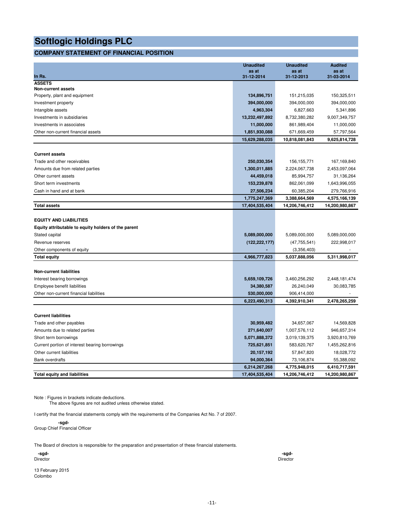### **COMPANY STATEMENT OF FINANCIAL POSITION**

|                                                     | <b>Unaudited</b><br>as at | <b>Unaudited</b><br>as at | <b>Audited</b><br>as at |
|-----------------------------------------------------|---------------------------|---------------------------|-------------------------|
| In Rs.                                              | 31-12-2014                | 31-12-2013                | 31-03-2014              |
| <b>ASSETS</b>                                       |                           |                           |                         |
| Non-current assets                                  |                           |                           |                         |
| Property, plant and equipment                       | 134,896,751               | 151,215,035               | 150,325,511             |
| Investment property                                 | 394,000,000               | 394,000,000               | 394,000,000             |
| Intangible assets                                   | 4,963,304                 | 6,827,663                 | 5,341,896               |
| Investments in subsidiaries                         | 13,232,497,892            | 8,732,380,282             | 9,007,349,757           |
| Investments in associates                           | 11,000,000                | 861,989,404               | 11,000,000              |
| Other non-current financial assets                  | 1,851,930,088             | 671,669,459               | 57,797,564              |
|                                                     | 15,629,288,035            | 10,818,081,843            | 9,625,814,728           |
|                                                     |                           |                           |                         |
| <b>Current assets</b>                               |                           |                           |                         |
| Trade and other receivables                         | 250,030,354               | 156, 155, 771             | 167,169,840             |
| Amounts due from related parties                    | 1,300,011,885             | 2,224,067,738             | 2,453,097,064           |
| Other current assets                                | 44,459,018                | 85,994,757                | 31,136,264              |
| Short term investments                              | 153,239,878               | 862,061,099               | 1,643,996,055           |
| Cash in hand and at bank                            | 27,506,234                | 60,385,204                | 279,766,916             |
|                                                     | 1,775,247,369             | 3,388,664,569             | 4,575,166,139           |
| <b>Total assets</b>                                 | 17,404,535,404            | 14,206,746,412            | 14,200,980,867          |
| <b>EQUITY AND LIABILITIES</b>                       |                           |                           |                         |
| Equity attributable to equity holders of the parent |                           |                           |                         |
| Stated capital                                      | 5,089,000,000             | 5,089,000,000             | 5,089,000,000           |
| Revenue reserves                                    | (122, 222, 177)           | (47, 755, 541)            | 222,998,017             |
| Other components of equity                          |                           | (3,356,403)               |                         |
| <b>Total equity</b>                                 | 4,966,777,823             | 5,037,888,056             | 5,311,998,017           |
|                                                     |                           |                           |                         |
| <b>Non-current liabilities</b>                      |                           |                           |                         |
| Interest bearing borrowings                         | 5,659,109,726             | 3,460,256,292             | 2,448,181,474           |
| Employee benefit liabilities                        | 34,380,587                | 26,240,049                | 30,083,785              |
| Other non-current financial liabilities             | 530,000,000               | 906,414,000               |                         |
|                                                     | 6,223,490,313             | 4,392,910,341             | 2,478,265,259           |
|                                                     |                           |                           |                         |
| <b>Current liabilities</b>                          |                           |                           |                         |
| Trade and other payables                            | 30,959,482                | 34,657,067                | 14,569,828              |
| Amounts due to related parties                      | 271,640,007               | 1,007,576,112             | 946,657,314             |
| Short term borrowings                               | 5,071,888,372             | 3,019,139,375             | 3,920,810,769           |
| Current portion of interest bearing borrowings      | 725,621,851               | 583,620,767               | 1,455,262,816           |
| Other current liabilities                           | 20, 157, 192              | 57,847,820                | 18,028,772              |
| <b>Bank overdrafts</b>                              | 94,000,364                | 73,106,874                | 55,388,092              |
|                                                     | 6,214,267,268             | 4,775,948,015             | 6,410,717,591           |
| <b>Total equity and liabilities</b>                 | 17,404,535,404            | 14,206,746,412            | 14,200,980,867          |

Note : Figures in brackets indicate deductions.

The above figures are not audited unless otherwise stated.

I certify that the financial statements comply with the requirements of the Companies Act No. 7 of 2007.

 **-sgd-**Group Chief Financial Officer

The Board of directors is responsible for the preparation and presentation of these financial statements.

| <br>۰.<br>×<br>۰. |
|-------------------|
|                   |

Director Director

13 February 2015 Colombo

 **-sgd- -sgd-**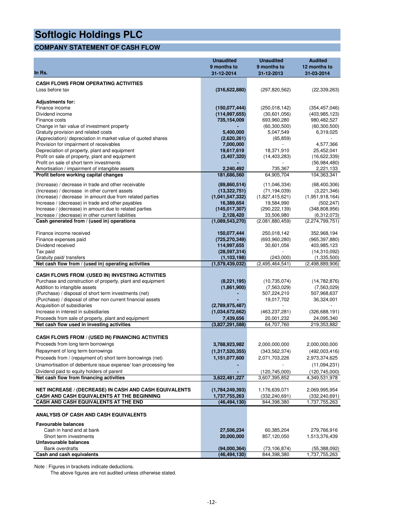### **COMPANY STATEMENT OF CASH FLOW**

|                                                                                                              | <b>Unaudited</b><br>9 months to  | <b>Unaudited</b><br>9 months to | <b>Audited</b><br>12 months to     |
|--------------------------------------------------------------------------------------------------------------|----------------------------------|---------------------------------|------------------------------------|
| In Rs.                                                                                                       | 31-12-2014                       | 31-12-2013                      | 31-03-2014                         |
| <b>CASH FLOWS FROM OPERATING ACTIVITIES</b>                                                                  |                                  |                                 |                                    |
| Loss before tax                                                                                              | (316, 622, 880)                  | (297, 820, 562)                 | (22, 339, 263)                     |
|                                                                                                              |                                  |                                 |                                    |
| <b>Adjustments for:</b>                                                                                      |                                  |                                 |                                    |
| Finance income<br>Dividend income                                                                            | (150,077,444)<br>(114, 997, 655) | (250, 018, 142)<br>(30,601,056) | (354, 457, 046)<br>(403, 985, 123) |
| Finance costs                                                                                                | 735,154,009                      | 693,960,280                     | 980,482,527                        |
| Change in fair value of investment property                                                                  |                                  | (60, 300, 500)                  | (60, 300, 500)                     |
| Gratuity provision and related costs                                                                         | 5,400,000                        | 5,047,549                       | 6,319,025                          |
| (Appreciation)/ depreciation in market value of quoted shares                                                | (2,620,261)                      | (65, 859)                       |                                    |
| Provision for impairment of receivables                                                                      | 7,000,000                        |                                 | 4,577,366                          |
| Depreciation of property, plant and equipment<br>Profit on sale of property, plant and equipment             | 19,617,619<br>(3,407,320)        | 18,371,910                      | 25,452,041<br>(16,622,339)         |
| Profit on sale of short term investments                                                                     |                                  | (14, 403, 283)                  | (56, 984, 480)                     |
| Amortisation / impairment of intangible assets                                                               | 2,240,492                        | 735,367                         | 2,221,133                          |
| Profit before working capital changes                                                                        | 181,686,560                      | 64,905,704                      | 104,363,341                        |
| (Increase) / decrease in trade and other receivable                                                          | (89, 860, 514)                   | (11,046,334)                    | (68, 400, 306)                     |
| (Increase) / decrease in other current assets                                                                | (13,322,751)                     | (71, 194, 039)                  | (3,221,346)                        |
| (Increase) / decrease in amount due from related parties                                                     | (1,041,547,332)                  | (1,827,415,621)                 | (1,951,918,164)                    |
| Increase / (decrease) in trade and other payables                                                            | 16,389,654                       | 19,584,990                      | (502, 247)                         |
| Increase / (decrease) in amount due to related parties<br>Increase / (decrease) in other current liabilities | (145, 017, 307)<br>2,128,420     | (290, 222, 139)<br>33,506,980   | (348, 808, 956)<br>(6,312,073)     |
| Cash generated from / (used in) operations                                                                   | (1,089,543,270)                  | (2,081,880,459)                 | (2,274,799,751)                    |
|                                                                                                              |                                  |                                 |                                    |
| Finance income received                                                                                      | 150,077,444                      | 250,018,142<br>(693,960,280)    | 352,968,194                        |
| Finance expenses paid<br>Dividend received                                                                   | (725,270,349)<br>114,997,655     | 30,601,056                      | (965, 397, 880)<br>403,985,123     |
| Tax paid                                                                                                     | (28, 597, 314)                   |                                 | (14,310,092)                       |
| Gratuity paid/ transfers                                                                                     | (1, 103, 198)                    | (243,000)                       | (1,335,500)                        |
| Net cash flow from / (used in) operating activities                                                          | (1,579,439,032)                  | (2.495, 464, 541)               | (2,498,889,906)                    |
| <b>CASH FLOWS FROM /(USED IN) INVESTING ACTIVITIES</b>                                                       |                                  |                                 |                                    |
| Purchase and construction of property, plant and equipment                                                   | (8, 221, 195)                    | (10, 735, 074)                  | (14, 782, 876)                     |
| Addition to intangible assets                                                                                | (1,861,900)                      | (7, 563, 029)                   | (7,563,029)                        |
| (Purchase) / disposal of short term investments (net)                                                        |                                  | 507,224,210                     | 507,968,637                        |
| (Purchase) / disposal of other non current financial assets<br>Acquisition of subsidiaries                   | (2,789,975,487)                  | 19,017,702                      | 36,324,001                         |
| Increase in interest in subsidiaries                                                                         | (1,034,672,662)                  | (463, 237, 281)                 | (326, 688, 191)                    |
| Proceeds from sale of property, plant and equipment                                                          | 7,439,656                        | 20,001,232                      | 24,095,340                         |
| Net cash flow used in investing activities                                                                   | (3,827,291,588)                  | 64,707,760                      | 219.353.882                        |
| <b>CASH FLOWS FROM / (USED IN) FINANCING ACTIVITIES</b>                                                      |                                  |                                 |                                    |
| Proceeds from long term borrowings                                                                           | 3,788,923,982                    | 2,000,000,000                   | 2,000,000,000                      |
| Repayment of long term borrowings                                                                            | (1,317,520,355)                  | (343, 562, 374)                 | (492,003,416)                      |
| Proceeds from / (repayment of) short term borrowings (net)                                                   | 1,151,077,600                    | 2,071,703,226                   | 2,973,374,625                      |
| Unamortisation of debenture issue expense/ loan processing fee                                               |                                  |                                 | (11,094,231)                       |
| Dividend paid to equity holders of parent                                                                    |                                  | (120, 745, 000)                 | (120, 745, 000)                    |
| Net cash flow from financing activities                                                                      | 3,622,481,227                    | 3,607,395,852                   | 4,349,531,978                      |
| NET INCREASE / (DECREASE) IN CASH AND CASH EQUIVALENTS                                                       | (1,784,249,393)                  | 1,176,639,071                   | 2,069,995,954                      |
| CASH AND CASH EQUIVALENTS AT THE BEGINNING                                                                   | 1,737,755,263                    | (332, 240, 691)                 | (332, 240, 691)                    |
| <b>CASH AND CASH EQUIVALENTS AT THE END</b>                                                                  | (46,494,130)                     | 844,398,380                     | 1,737,755,263                      |
| ANALYSIS OF CASH AND CASH EQUIVALENTS                                                                        |                                  |                                 |                                    |
| <b>Favourable balances</b>                                                                                   |                                  |                                 |                                    |
| Cash in hand and at bank                                                                                     | 27,506,234                       | 60,385,204                      | 279,766,916                        |
| Short term investments                                                                                       | 20,000,000                       | 857,120,050                     | 1,513,376,439                      |
| Unfavourable balances<br><b>Bank overdrafts</b>                                                              | (94,000,364)                     | (73, 106, 874)                  | (55,388,092)                       |
| Cash and cash equivalents                                                                                    | (46, 494, 130)                   | 844,398,380                     | 1,737,755,263                      |

Note : Figures in brackets indicate deductions.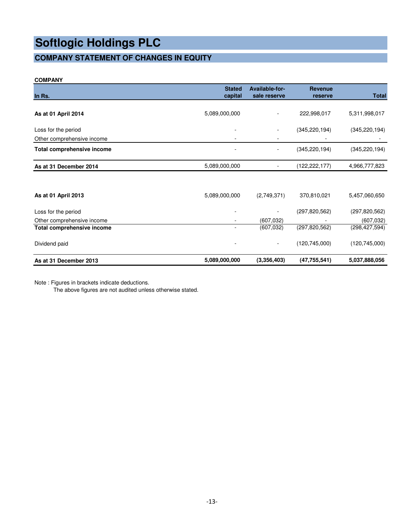### **COMPANY STATEMENT OF CHANGES IN EQUITY**

#### **COMPANY**

| In Rs.                            | <b>Stated</b><br>capital | <b>Available-for-</b><br>sale reserve | <b>Revenue</b><br>reserve | <b>Total</b>    |
|-----------------------------------|--------------------------|---------------------------------------|---------------------------|-----------------|
| As at 01 April 2014               | 5,089,000,000            |                                       | 222,998,017               | 5,311,998,017   |
| Loss for the period               |                          |                                       | (345, 220, 194)           | (345, 220, 194) |
| Other comprehensive income        |                          |                                       |                           |                 |
| Total comprehensive income        |                          |                                       | (345, 220, 194)           | (345, 220, 194) |
| As at 31 December 2014            | 5,089,000,000            |                                       | (122,222,177)             | 4,966,777,823   |
|                                   |                          |                                       |                           |                 |
| As at 01 April 2013               | 5,089,000,000            | (2,749,371)                           | 370,810,021               | 5,457,060,650   |
| Loss for the period               |                          |                                       | (297, 820, 562)           | (297, 820, 562) |
| Other comprehensive income        |                          | (607, 032)                            |                           | (607, 032)      |
| <b>Total comprehensive income</b> |                          | (607, 032)                            | (297,820,562)             | (298, 427, 594) |
| Dividend paid                     |                          | $\overline{\phantom{a}}$              | (120, 745, 000)           | (120, 745, 000) |
| As at 31 December 2013            | 5,089,000,000            | (3,356,403)                           | (47, 755, 541)            | 5,037,888,056   |

Note : Figures in brackets indicate deductions.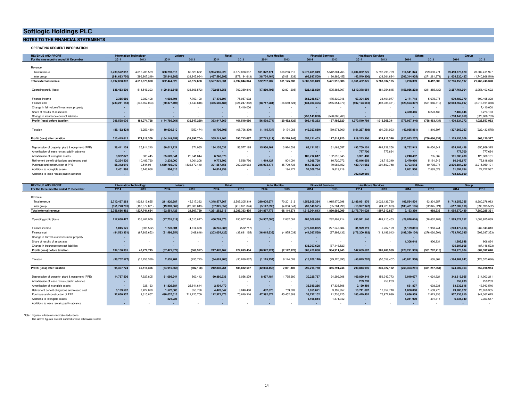#### **NOTES TO THE FINANCIAL STATEMENTS**

**OPERATING SEGMENT INFORMATION**

| <b>REVENUE AND PROFIT</b>                         | <b>Information Technology</b> |                 |                          | Leisure        | <b>Retail</b>   |                 | <b>Auto Mobiles</b> |                | <b>Financial Services</b> |                 | <b>Healthcare Services</b> |                 | <b>Others</b>   |                 | Group           |                 |
|---------------------------------------------------|-------------------------------|-----------------|--------------------------|----------------|-----------------|-----------------|---------------------|----------------|---------------------------|-----------------|----------------------------|-----------------|-----------------|-----------------|-----------------|-----------------|
| For the nine months ended 31 December             | 2014                          | 2013            | 2014                     | 2013           | 2014            | 2013            | 2014                | 2013           | 2014                      | 2013            | 2014                       | 2013            | 2014            | 2013            | 2014            | 2013            |
|                                                   |                               |                 |                          |                |                 |                 |                     |                |                           |                 |                            |                 |                 |                 |                 |                 |
| Revenue                                           |                               |                 |                          |                |                 |                 |                     |                |                           |                 |                            |                 |                 |                 |                 |                 |
| Total revenue                                     | 6.739.522.057                 | 4,816,785,569   | 388.293.515              | 82.523.652     | 8.994.965.929   | 6.672.038.657   | 591.022.171         | 316,266,716    | 5.978.401.349             | 5.542.804.763   | 6.404.032.275              | 5.797.298.799   | 314.541.324     | 279.693.771     | 29.410.778.620  | 23,507.411.927  |
| Inter group                                       | (641,683,750                  | (296.907.219)   | (55, 848, 986)           | (33.945.964)   | (467,590,898    | (979.194.613    | (18, 734, 464)      | (5.091.333)    | (92.897.500)              | (120.886.455)   | (42.549.900)               | (33.361.694)    | (305.314.925)   | (271.281.271)   | (1.624.620.423) | (1.740.668.549  |
| Total external revenue                            | 6.097.838.307                 | 4.519.878.350   | 332.444.529              | 48.577.688     | 8.527.375.031   | 5.692.844.044   | 572.287.707         | 311.175.383    | 5.885.503.849             | 5.421.918.308   | 6.361.482.375              | 5.763.937.105   | 9.226.399       | 8.412.500       | 27.786.158.197  | 21.766.743.378  |
|                                                   |                               |                 |                          |                |                 |                 |                     |                |                           |                 |                            |                 |                 |                 |                 |                 |
| Operating profit/ (loss)                          | 635,453,509                   | 514,546,393     | (129, 312, 646)          | (38, 606, 572) | 792,051,356     | 702,389,816     | (17,880,796)        | (2,801,605)    | 625.126.830               | 505,885,907     | 1,510,378,954              | 1,481,354,815   | (158,056,203)   | (211, 365, 132) | 3,257,761,004   | 2,951,403,622   |
|                                                   |                               |                 |                          |                |                 |                 |                     |                |                           |                 |                            |                 |                 |                 |                 |                 |
| Finance income                                    | 2.385.680                     | 2.382.408       | 4.903.791                | 7.709.190      | 37,476,697      | 75.957.632      |                     |                | 865.246.597               | 475.339.046     | 67.304.896                 | 33.401.977      | 2.171.718       | 5.675.075       | 979.489.379     | 600.465.328     |
| Finance cost                                      | (239, 241, 153                | (335, 857, 003) | (50, 377, 406)           | (1,649,848)    | (465, 580, 184) | (324, 247, 362) | (38,717,281)        | (26,650,824)   | (134,080,305)             | (265, 651, 370) | (507,173,061               | (498, 788, 451) | (628, 593, 307) | (561,066,510)   | (2,063,762,697  | (2,013,911,368) |
| Change in fair value of investment property       | ۰.                            | $\sim$          |                          |                |                 | 7.410.000       |                     |                |                           |                 |                            |                 |                 |                 |                 | 7,410,000       |
| Share of results of associates                    | ۰                             |                 |                          |                |                 |                 |                     |                |                           |                 |                            |                 | 7.480.446       | 8.273.133       | 7.480.446       | 8,273,133       |
| Change in insurance contract liabilities          | ۰.                            |                 |                          |                |                 |                 |                     |                | (750.143.860)             | (528.086.763)   |                            |                 |                 |                 | (750.143.860    | (528,086,763)   |
| Profit/ (loss) before taxation                    | 398,598,036                   | 181.071.798     | (174,786,261             | (32.547.230)   | 363.947.869     | 461.510.086     | (56, 598, 077)      | (29, 452, 429) | 606,149,262               | 187.486.820     | 1,070,510,789              | 1.015.968.341   | (776, 997, 346) | (758.483.434)   | 1.430.824.272   | 1,025,553,952   |
|                                                   |                               |                 |                          |                |                 |                 |                     |                |                           |                 |                            |                 |                 |                 |                 |                 |
| Taxation                                          | (85.152.424)                  | (6.253.489)     | 10.636.810               | (350.474)      | (8,706,706      | (65, 796, 399)  | (1, 115, 734)       | 9.174.083      | (49,027,859)              | (69, 971, 900)  | (151, 267, 489)            | (91,051,993)    | (43,035,861)    | 1.816.597       | (327, 669, 263) | (222, 433, 575) |
|                                                   |                               |                 |                          |                |                 |                 |                     |                |                           |                 |                            |                 |                 |                 |                 |                 |
| Profit/ (loss) after taxation                     | 313,445,612                   | 174.818.309     | (164, 149, 451           | (32.897.704)   | 355,241,163     | 395.713.687     | (57,713,811)        | (20.278.346)   | 557,121,403               | 117.514.920     | 919.243.300                | 924.916.348     | (820,033,207)   | (756,666,837)   | 1.103.155.009   | 803.120.377     |
|                                                   |                               |                 |                          |                |                 |                 |                     |                |                           |                 |                            |                 |                 |                 |                 |                 |
| Depreciation of property, plant & equipment (PPE) | 28.411.109                    | 25.914.210      | 80.012.221               | 371.965        | 134.155.032     | 56.577.185      | 15,930,461          | 3.924.508      | 83.131.561                | 61.488.557      | 493.709.101                | 484.228.258     | 19.752.943      | 18.454.642      | 855.102.428     | 650.959.325     |
| Amortisation of lease rentals paid in advance     | $\sim$                        | $\sim$          | ٠.                       |                |                 |                 |                     |                |                           |                 | 777,700                    | 777,694         |                 |                 | 777,700         | 777,694         |
| Amortisation of intangible assets                 | 3.382.872                     | 386,445         | 35.620.641               | 25.641.644     | 6.740.370       |                 |                     |                | 106.712.617               | 102.616.645     | 6.391.408                  |                 | 2.240.492       | 735.367         | 161,088,400     | 129,380,101     |
| Retirement benefit obligations and related cost   | 12.234.520                    | 10.483.760      | 3.238.000                | 1.061.208      | 9.773.702       | 8,538,796       | 1.419.127           | 904.094        | 11.086.720                | 10,720,072      | 43.016.658                 | 38,719,349      | 5,479,950       | 5.191.549       | 86,248,677      | 75,618,828      |
| Purchase and construction of PPE                  | 55.312.610                    | 9.544.981       | 1.660.786.949            | 1.536.172.440  | 301.567.156     | 202.320.063     | 215.973.177         | 85,700,733     | 164,746,224               | 79,083,152      | 429,794,652                | 291.502.748     | 8,703,512       | 10,735,074      | 2.836.884.280   | 2,215,059,191   |
| Additions to intangible assets                    | 2.401.398                     | 5,146,068       | 304.813                  |                | 14.814.939      |                 | $\sim$              | 194,272        | 32,309,734                | 9,819,218       | $\overline{\phantom{a}}$   |                 | 1,861,900       | 7.563.029       | 51.692.784      | 22,722,587      |
| Additions to lease rentals paid in advance        | $\sim$                        |                 | $\overline{\phantom{a}}$ |                |                 |                 |                     |                |                           |                 | 702,520,660                |                 | $\sim$          |                 | 702.520.660     |                 |

| <b>REVENUE AND PROFIT</b>                         | <b>Information Technology</b> |                |                          | Leisure      | <b>Retail</b>   |               | <b>Auto Mobiles</b> |             | <b>Financial Services</b> |                | <b>Healthcare Services</b> |                 | <b>Others</b>   |                 | Group           |                 |
|---------------------------------------------------|-------------------------------|----------------|--------------------------|--------------|-----------------|---------------|---------------------|-------------|---------------------------|----------------|----------------------------|-----------------|-----------------|-----------------|-----------------|-----------------|
| For the three months ended 31 December            | 2014                          | 2013           | 2014                     | 2013         | 2014            | 2013          | 2014                | 2013        | 2014                      | 2013           | 2014                       | 2013            | 2014            | 2013            | 2014            | 2013            |
|                                                   |                               |                |                          |              |                 |               |                     |             |                           |                |                            |                 |                 |                 |                 |                 |
| Revenue                                           |                               |                |                          |              |                 |               |                     |             |                           |                |                            |                 |                 |                 |                 |                 |
| Total revenue                                     | 2.710.457.263                 | 1.628.113.655  | 211.920.987              | 45.317.382   | 4.348.577.567   | 2.505.205.319 | 290.005.674         | 70.201.212  | 1.856.605.384             | 1.915.970.398  | 2.189.091.976              | 2.022.136.760   | 106,594,504     | 93.334.257      | 11.713.253.355  | 8.280.278.983   |
| Inter group                                       | (351,770,781                  | (100.372.001)  | (19,369,562)             | (23.809.613) | (87,325,052)    | (419.871.824) | (5.147.896)         | (4.086.641) | (37,540,571               | (35.284.299)   | (13, 327, 947)             | (24.223.893)    | (103, 401, 105) | (92.345.321)    | (617.882.916)   | (699,993,592    |
| Total external revenue                            | 2.358.686.482                 | 1.527.741.654  | 192.551.425              | 21.507.769   | 4.261.252.515   | 2.085.333.495 | 284.857.776         | 66.114.571  | 1.819.064.813             | 1.880.686.099  | 2.175.764.029              | 1.997.912.867   | 3.193.399       | 988.936         | 11.095.370.439  | 7.580.285.391   |
|                                                   |                               |                |                          |              |                 |               |                     |             |                           |                |                            |                 |                 |                 |                 |                 |
| Operating profit/ (loss)                          | 217.638.477                   | 136.481.959    | (27, 751, 319)           | (4.510.847)  | 456.769.376     | 255.907.316   | (24,907,086)        | 2.832.061   | 483,008,880               | 282.402.714    | 493.941.540                | 489.415.453     | (29.078.616)    | (78.602.787)    | 1.569.621.252   | 1.083.925.869   |
|                                                   |                               |                |                          |              |                 |               |                     |             |                           |                |                            |                 |                 |                 |                 |                 |
| Finance income                                    | 1.045.175                     | (906, 592)     | 1.778.301                | 4.614.368    | (6, 245, 086)   | (532, 717)    |                     |             | (270, 808, 062)           | 277,547,884    | 31.929.119                 | 5,267,129       | (1, 169, 861)   | 1,953,741       | (243, 470, 414) | 287,943,813     |
| Finance cost                                      | (84,583,351                   | (87,802,652)   | (31, 498, 354)           | (469, 848)   | (203, 054, 123) | (32,681,165)  | (16,015,638         | (4,975,039) | (41,087,558)              | (87, 892, 132) | (178, 200, 962)            | (113, 196, 013) | (199, 350, 104) | (276, 020, 504) | (753,790,090)   | (603, 037, 353) |
| Change in fair value of investment property       | ۰.                            | $\sim$         |                          |              |                 |               |                     |             |                           | $\sim$         |                            |                 |                 |                 |                 |                 |
| Share of results of associates                    |                               |                |                          |              |                 |               |                     |             |                           |                |                            |                 | 1.306.648       | 906.834         | 1.306.648       | 906.834         |
| Change in insurance contract liabilities          | ۰.                            |                |                          |              | ۰.              |               |                     |             | 135,307,608               | (87.146.523)   |                            |                 |                 |                 | 135,307,608     | (87.146.523     |
| Profit/ (loss) before taxation                    | 134,100,301                   | 47.772.715     | (57.471.372)             | (366.327)    | 247.470.167     | 222.693.434   | (40.922.724)        | (2.142.978) | 306,420,868               | 384.911.943    | 347.669.697                | 381.486.569     | (228.291.933)   | (351.762.716)   | 708.975.004     | 682.592.640     |
|                                                   |                               |                |                          |              |                 |               |                     |             |                           |                |                            |                 |                 |                 |                 |                 |
| Taxation                                          | (38, 702, 577)                | (17, 256, 389) | 2,555,704                | (435, 773)   | (34,661,906)    | (35.880.867)  | (1, 115, 734)       | 9.174.083   | (16, 206, 118)            | (29, 120, 695) | (56, 825, 702)             | (50, 559, 407)  | (40,011,308)    | 505.362         | (184, 967, 641) | (123, 573, 686) |
|                                                   |                               |                |                          |              |                 |               |                     |             |                           |                |                            |                 |                 |                 |                 |                 |
| Profit/ (loss) after taxation                     | 95.397.724                    | 30.516.326     | (54.915.668)             | (802.100)    | 212.808.261     | 186.812.567   | (42.038.458)        | 7.031.105   | 290.214.750               | 355.791.248    | 290.843.995                | 330.927.162     | (268, 303, 241) | (351.257.354)   | 524.007.363     | 559.018.954     |
|                                                   |                               |                |                          |              |                 |               |                     |             |                           |                |                            |                 |                 |                 |                 |                 |
| Depreciation of property, plant & equipment (PPE) | 14,757,506                    | 7,927,805      | 51.095.244               | 563.442      | 60.880.938      | 16.056.279    | 8.437.484           | 1.795.680   | 30,229,767                | 24,292,308     | 169,899,349                | 159.342.773     | 7.019.677       | 4.024.924       | 342.319.965     | 214,003,211     |
| Amortisation of lease rentals paid in advance     | $\sim$                        | $\sim$         | $\overline{\phantom{a}}$ |              |                 |               |                     |             |                           |                | 259,233                    | 259,233         | $\sim$          | $\sim$          | 259,233         | 259,233         |
| Amortisation of intangible assets                 | $\sim$                        | 328.163        | 11.826.584               | 25.641.644   | 2.404.470       |               |                     |             | 36,939,256                | 17.335.508     | 2,130,469                  | $\sim$          | 631.837         | 638.231         | 53,932,616      | 43,943,546      |
| Retirement benefit obligations and related cost   | 5.169.592                     | 3.427.820      | 1.572.000                | 353.736      | 4.478.047       | 3.848.460     | 482,875             | 709.889     | 2,655,671                 | 3,197,957      | 13,741,887                 | 12,952,718      | 1.800.000       | 1,559,775       | 29.900.072      | 26,050,355      |
| Purchase and construction of PPE                  | 32.630.937                    | 9.315.857      | 490.037.513              | 711.220.709  | 112.372.473     | 75.840.316    | 47.392.674          | 45.452.683  | 38,737,102                | 21,736,225     | 183.429.402                | 75.972.989      | 2.636.509       | 2.823.836       | 907.236.610     | 942,362,615     |
| Additions to intangible assets                    | $\sim$                        | $\sim$         | 221.226                  |              | ۰.              |               |                     |             | 5,168,814                 | 1.871.942      | $\sim$                     |                 | 1.241.900       | 491.615         | 6.631.940       | 2.363.557       |
| Additions to lease rentals paid in advance        | ۰.                            |                | ۰.                       |              |                 |               |                     |             | <b>1999</b>               |                |                            |                 | $\sim$          |                 |                 |                 |

Note : Figures in brackets indicate deductions.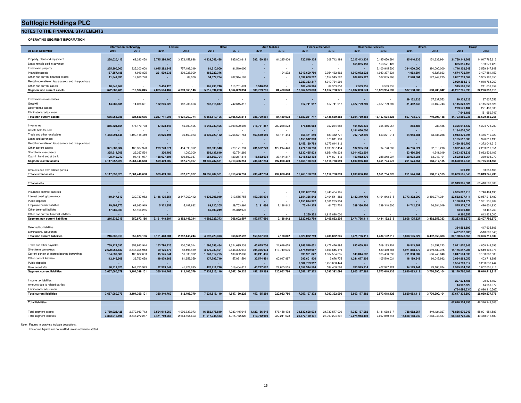**NOTES TO THE FINANCIAL STATEMENTS**

#### **OPERATING SEGMENT INFORMATION**

|                                                     | <b>Information Technology</b><br>Leisure |                              |                           | <b>Auto Mobile</b><br>Retai |                              | <b>Financial Services</b>    |                           | <b>Healthcare Services</b> |                | Others                        |                              | <b>Group</b>                 |                             |               |                |                   |
|-----------------------------------------------------|------------------------------------------|------------------------------|---------------------------|-----------------------------|------------------------------|------------------------------|---------------------------|----------------------------|----------------|-------------------------------|------------------------------|------------------------------|-----------------------------|---------------|----------------|-------------------|
| As at 31 December                                   | 2014                                     | 2013                         | 2014                      | 2013                        | 2014                         | 2013                         | 2014                      | 2013                       | 2014           | 2013                          | 2014                         | 2013                         | 2014                        | 2013          | 2014           | 2013              |
|                                                     |                                          |                              |                           |                             |                              |                              |                           |                            |                |                               |                              |                              |                             |               |                |                   |
| Property, plant and equipment                       | 238,020,415                              | 69,243,450                   | 5,745,296,460             | 3,272,452,888               | 4,329,048,438                | 885,803,613                  | 383, 169, 261             | 84,235,806                 | 720,519,125    | 308,742,198                   | 10,217,443,334               | 10,145,650,694               | 135,646,235                 | 151,636,964   | 21,769,143,268 | 14,917,765,613    |
| Lease rentals paid in advance                       |                                          |                              |                           |                             |                              |                              |                           |                            |                |                               | 855.055.150                  | 153,571,423                  |                             |               | 855.055.150    | 153,571,423       |
| Investment property                                 | 225.300.000                              | 225.300.000                  | 1.045.292.349             | 757,492,349                 | 81.510.000                   | 81,510,000                   | $\overline{\phantom{a}}$  |                            |                |                               |                              | 2,100,945,500                | 394.000.000                 | 394,000,000   | 1,746,102,349  | 3,559,247,849     |
| Intangible assets                                   | 187,357,188                              | 4,019,825                    | 291,509,238               | 309,028,909                 | 1,165,229,376                |                              |                           | 194,272                    | 1,913,600,760  | 2,054,432,862                 | 1,012,072,928                | 1,033,377,621                | 4,963,304                   | 6,827,663     | 4,574,732,794  | 3,407,881,152     |
| Other non current financial assets                  | 11,341,835                               | 12,030,770                   |                           | 89,000                      | 54,372,734                   | 282,944,107                  |                           |                            | 7.394.600.202  | 5, 154, 545, 792              | 604.895.927                  | 387,835,966                  | 2.528.664                   | 127,742,215   | 8,067,739,362  | 5,965,187,850     |
| Rental receivable on lease assets and hire purchase |                                          |                              |                           |                             |                              |                              |                           |                            | 2,929,363,317  | 4,010,764,269                 |                              |                              |                             |               | 2,929,363,317  | 4,010,764,269     |
| Other non current assets                            | 10848967                                 |                              | 3,406,420                 |                             | 185,733,740                  | 113.751.674                  | 3.540.000                 |                            | 104,456,396    | 89,303,850                    | 7.583.335                    | 8.583.335                    |                             |               | 315,568,858    | 211,638,859       |
| Segment non current assets                          | 672,868,405                              | 310,594,045                  | 7,085,504,467             | 4,339,063,146               | 5,815,894,288                | 1,364,009,394                | 386,709,261               | 84,430,078                 | 13,062,539,800 | 11,617,788,971                | 12,697,050,674               | 13,829,964,539               | 537,138,203                 | 680,206,842   | 40,257,705,098 | 32,226,057,015    |
|                                                     |                                          |                              |                           |                             |                              |                              |                           |                            |                |                               |                              |                              |                             |               |                |                   |
| Investments in associates                           |                                          |                              |                           |                             |                              |                              |                           |                            |                |                               |                              |                              | 29,132,326                  | 37,637,553    | 29,132,326     | 37,637,553        |
| Goodwill                                            | 14,086,631                               | 14,086,631                   | 182,206,628               | 182,206,628                 | 742,615,817                  | 742,615,817                  |                           |                            | 817,741,917    | 817,741,917                   | 2,327,709,789                | 2,327,709,789                | 31,462,743                  | 31,462,743    | 4,115,823,525  | 4,115,823,525     |
| Deferred tax assets                                 |                                          |                              |                           |                             |                              |                              |                           |                            |                |                               |                              |                              |                             |               | 293.571.104    | 271,493,905       |
| Fliminations/ adjustment                            |                                          |                              |                           |                             |                              |                              |                           |                            |                |                               |                              |                              |                             |               | 7.648.185      | (51.659.743)      |
| Total non current assets                            | 686,955,036                              | 324,680,676                  | 7,267,711,095             | 4,521,269,774               | 6,558,510,105                | 2,106,625,211                | 386,709,261               | 84,430,078                 | 13,880,281,717 | 12,435,530,888                | 15,024,760,463               | 16, 157, 674, 328            | 597,733,272                 | 749,307,138   | 44,703,880,238 | 36,599,352,255    |
|                                                     |                                          |                              |                           |                             |                              |                              |                           |                            |                |                               |                              |                              |                             |               |                |                   |
| Inventories                                         | 866,721,654                              | 571,170,738                  | 17,278,147                | 45,709,425                  | 4,048,030,495                | 2,699,620,598                | 316,761,357               | 280,268,223                | 676,816,963    | 362,264,682                   | 401,026,335                  | 365,456,057                  | 283,486                     | 283,486       | 6,326,918,437  | 4,324,773,209     |
| Assets held-for-sale                                |                                          |                              |                           |                             |                              |                              |                           |                            |                |                               | 2,184,636,000                |                              |                             |               | 2,184,636,000  |                   |
| Trade and other receivables                         | 1,463,994,648                            | 1,190,118,449                | 94,026,194                | 36,469,073                  | 3,536,720,182                | 2,768,671,761                | 169,530,550               | 56, 131, 414               | 856,471,240    | 683,412,771                   | 797,722,896                  | 653,271,014                  | 24,913,681                  | 68,636,238    | 6,943,379,391  | 5,456,710,720     |
| Loans and advances                                  |                                          |                              |                           |                             |                              |                              |                           |                            | 6.155.512.383  | 976.811.190                   |                              |                              |                             |               | 6.155.512.383  | 976.811.190       |
| Rental receivable on lease assets and hire purchase |                                          |                              |                           |                             |                              |                              | $\sim$                    |                            | 3,459,180,793  | 4,372,044,312                 |                              |                              |                             |               | 3,459,180,793  | 4,372,044,312     |
| Other current assets                                | 321,683,804                              | 186,337,970                  | 209,770,871               | 454,593,372                 | 907,530,540                  | 279, 171, 791                | 231,522,773               | 122,214,446                | 1,474,178,738  | 1,093,957,454                 | 132,995,594                  | 94,728,800                   | 44,796,621                  | 32,013,218    | 3,322,478,941  | 2,263,017,051     |
| Short term investments                              | 335.914.705                              | 22,367,534                   | 306,499                   | 11,000,000                  | 1.359.137.610                | 42.754.286                   | $\sim$                    |                            | 4.830.435.923  | 4,951,476,238                 | 1.014.622.904                |                              | 153.456.995                 | 4.941.049     | 7.693.874.636  | 5,032,539,107     |
| Cash in hand and at bank                            | 128.742.212                              | 91.451.977                   | 188.027.891               | 109.502.057                 | 984.863.704                  | 129.217.815                  | 18.632.604                | 33.414.317                 | 1.015.562.193  | 674.821.412                   | 159.082.679                  | 238.248.207                  | 28.073.981                  | 63.043.194    | 2.522.985.264  | 1.339.698.979     |
| Segment current assets                              | 3,117,057,023                            | 2,061,446,668                | 509,409,602               | 657,273,927                 | 10,836,282,531               | 5,919,436,251                | 736,447,284               | 492,028,400                | 18,468,158,233 | 13,114,788,059                | 4,690,086,408                | 1,351,704,078                | 251,524,764                 | 168,917,185   | 38,608,965,845 | 23,765,594,568    |
|                                                     |                                          |                              |                           |                             |                              |                              |                           |                            |                |                               |                              |                              |                             |               |                |                   |
| Amounts due from related parties                    |                                          |                              |                           |                             |                              |                              |                           |                            |                |                               |                              |                              |                             |               | 539,498        | 53.651.165        |
| <b>Total current assets</b>                         | 3.117.057.023                            | 2.061.446.668                | 509.409.602               | 657.273.927                 | 10.836.282.531               | 5,919,436,251                | 736,447,284               | 492.028.400                | 18.468.158.233 | 13.114.788.059                | 4.690.086.408                | 1,351,704,078                | 251.524.764                 | 168.917.185   | 38,609,505,343 | 23.819.245.733    |
|                                                     |                                          |                              |                           |                             |                              |                              |                           |                            |                |                               |                              |                              |                             |               |                |                   |
| <b>Total assets</b>                                 |                                          |                              |                           |                             |                              |                              |                           |                            |                |                               |                              |                              |                             |               | 83.313.385.581 | 60.418.597.988    |
|                                                     |                                          |                              |                           |                             |                              |                              |                           |                            |                |                               |                              |                              |                             |               |                |                   |
| Insurance contract liabilities                      |                                          |                              |                           |                             |                              |                              |                           |                            | 4,935,067,218  | 3,746,464,195                 |                              |                              |                             |               | 4,935,067,218  | 3,746,464,195     |
| Interest bearing borrowings                         | 119,347,610                              | 230,737,982                  | 3,116,125,651             | 2,347,262,412               | 4.536.908.919                | 313,555,755                  | 150,385,994               |                            | 2,654,366,542  | 2,404,541,382                 | 6,182,349,705                | 4,194,843,615                | 5,773,392,990               | 3,466,274,334 | 22,532,877,411 | 12,957,215,480    |
| Public deposits                                     |                                          |                              |                           |                             |                              |                              |                           |                            | 2,150,894,372  | 1,381,235,904                 |                              |                              |                             |               | 2,150,894,372  | 1,381,235,904     |
| Employee benefit liabilities                        | 79,494,770                               | 62,030,919                   | 5,322,853                 | 5,182,832                   | 89,720,205                   | 29,703,864                   | 3,191,686                 | 2,188,842                  | 73,444,275     | 61,762,724                    | 289,386,406                  | 239,348,600                  | 34,712,837                  | 26,384,049    | 575,273,032    | 426,601,830       |
| Other deferred liabilities                          | 17,989,939                               | 58,104,285                   |                           |                             | 65,600,249                   | 25,342,978                   |                           |                            |                |                               |                              |                              |                             |               | 83,590,188     | 83,447,263        |
| Other non current financial liabilities             |                                          |                              |                           |                             |                              |                              |                           |                            | 6.260.352      | 1.812.828.000                 |                              |                              |                             |               | 6.260,352      | 1.812.828.000     |
| Segment non current liabilities                     | 216,832,319                              | 350.873.186                  | 3.121.448.504             | 2,352,445,244               | 4.692.229.373                | 368,602.597                  | 153,577,680               | 2.188.842                  | 9.820.032.759  | 9.406.832.205                 | 6,471,736,111                | 4,434,192,215                | 5.808.105.827               | 3.492.658.383 | 30.283.962.573 | 20,407,792,672    |
|                                                     |                                          |                              |                           |                             |                              |                              |                           |                            |                |                               |                              |                              |                             |               |                |                   |
| Deferred tax liabilities                            |                                          |                              |                           |                             |                              |                              |                           |                            |                |                               |                              |                              |                             |               | 334,568,893    | 417.605.806       |
| Eliminations/ adjustment                            |                                          |                              |                           |                             |                              |                              |                           |                            |                |                               |                              |                              |                             |               | (437,652,900   | (518,687,648      |
| <b>Total non current liabilities</b>                | 216,832,319                              | 350,873,186                  | 3,121,448,504             | 2,352,445,244               | 4,692,229,373                | 368,602,597                  | 153,577,680               | 2,188,842                  | 9,820,032,759  | 9,406,832,205                 | 6,471,736,111                | 4,434,192,215                | 5,808,105,827               | 3,492,658,383 | 30,180,878,566 | 20,306,710,830    |
|                                                     |                                          |                              |                           |                             |                              |                              |                           |                            |                |                               |                              |                              |                             |               |                |                   |
| Trade and other payables                            | 739,124,033                              | 358,923,944                  | 153,790,326               | 130,092,014                 | 1,596,558,484                | 1,324,695,238                | 43,675,706                | 21,619,678                 | 2,748,519,651  | 2,472,476,895                 | 633,659,281                  | 519,183,401                  | 26,543,367                  | 31,352,223    | 5,941,870,848  | 4,858,343,393     |
| Short term borrowings                               | 2,620,958,637                            | 2,548,305,943                | 29,125,577                | 42,496,419                  | 3.676.939.421                | 2,548,305,943                | 301,365,934               | 113,749,696                | 2,574,969,967  | 3,696,645,119                 |                              | 580,460,881                  | 4.971.888.372               | 3,019,139,375 | 14.175.247.908 | 12,549,103,376    |
| Current portion of interest bearing borrowings      |                                          |                              |                           |                             |                              |                              |                           |                            |                |                               | 943,844,882                  |                              |                             |               |                |                   |
| Other current liabilities                           | 104,639,580                              | 100,682,633                  | 15, 175, 244              | 16,936,992                  | 1,343,312,725                | 100,682,633                  | 33,241,496                |                            | 695,951,822    | 1,367,504,295                 |                              | 965,456,696                  | 711,338,587                 | 586,745,640   | 3,847,504,336  | 3,138,008,889     |
| Public deposits                                     | 112,146,509                              | 36,760,658                   | 119,879,968               | 81,656,059                  | 137,793,710                  | 57,021,594                   | 33,574,491                | 60,017,897                 | 393,601,426    | 2,676,775                     | 1,241,677,305                | 105,540,024                  | 16, 189, 643                | 60,045,992    | 2,054,863,052  | 403,718,999       |
|                                                     |                                          |                              |                           |                             |                              |                              |                           |                            | 9,584,769,912  | 6,258,638,444                 |                              |                              |                             |               | 9,584,769,912  | 6,258,638,444     |
| Bank overdrafts                                     | 90.211.620<br>3.667.080.379              | 149.725.923<br>3.194.399.101 | 32.369.647<br>350.340.762 | 41.224.895<br>312.406.379   | 470.211.770<br>7.224.816.110 | 516.454.817<br>4.547.160.225 | 45.277.662<br>457.135.289 | 24.665.515<br>220.052.786  | 1.059.314.594  | 594.450.568<br>14.392.392.096 | 783.995.914<br>3.603.177.382 | 402.977.124<br>2.573.618.126 | 94.123.144<br>5.820.083.113 | 73.106.874    | 2.575.504.351  | 1.802.605.716     |
| <b>Segment current liabilities</b>                  |                                          |                              |                           |                             |                              |                              |                           |                            | 17,057,127,372 |                               |                              |                              |                             | 3,770,390,104 | 38,179,760,407 | 29,010,418,817    |
|                                                     |                                          |                              |                           |                             |                              |                              |                           |                            |                |                               |                              |                              |                             |               |                |                   |
| Income tax liabilities                              |                                          |                              |                           |                             |                              |                              |                           |                            |                |                               |                              |                              |                             |               | 207,274,488    | 100,878,152       |
| Amounts due to related parties                      |                                          |                              |                           |                             |                              |                              |                           |                            |                |                               |                              |                              |                             |               | 14,987,529     | 14,551,372        |
| Fliminations/ adjustment                            |                                          |                              |                           |                             |                              |                              |                           |                            |                |                               |                              |                              |                             |               | (754.696.534)  | (3.086.310.565)   |
| <b>Total current liabilities</b>                    | 3,667,080,379                            | 3,194,399,101                | 350,340,762               | 312,406,379                 | 7,224,816,110                | 4,547,160,225                | 457, 135, 289             | 220,052,786                | 17,057,127,372 | 14,392,392,096                | 3,603,177,382                | 2,573,618,126                | 5,820,083,113               | 3,770,390,104 | 37,647,325,890 | 26,039,537,776    |
| <b>Total liabilities</b>                            |                                          |                              |                           |                             |                              |                              |                           |                            |                |                               |                              |                              |                             |               | 67.828.204.456 | 46, 346, 248, 606 |
|                                                     |                                          |                              |                           |                             |                              |                              |                           |                            |                |                               |                              |                              |                             |               |                |                   |
|                                                     |                                          |                              |                           |                             |                              |                              |                           |                            |                |                               |                              |                              |                             |               |                |                   |
| Total segment assets                                | 3,789,925,428                            | 2,372,040,713                | 7,594,914,069             | 4,996,337,073               | 16,652,176,819               | 7,283,445,645                | 1,123,156,545             | 576,458,478                | 31,530,698,033 | 24,732,577,030                | 17,387,137,082               | 15,181,668,617               | 788,662,967                 | 849,124,027   | 78,866,670,943 | 55,991,651,583    |
| <b>Total segment liabilities</b>                    | 3.883.912.698                            | 3,545,272,287                | 3.471.789.266             | 2,664,851,623               | 11.917.045.483               | 4,915,762,822                | 610.712.969               | 222.241.628                | 26.877.160.131 | 23.799.224.301                | 10.074.913.493               | 7.007.810.341                | 11.628.188.940              | 7.263.048.487 | 68.463.722.980 | 49.418.211.489    |

Note : Figures in brackets indicate deductions.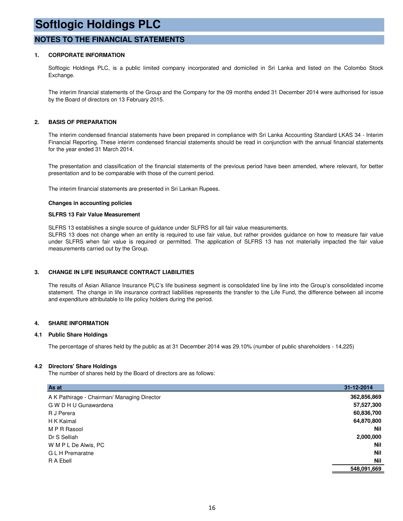### **NOTES TO THE FINANCIAL STATEMENTS**

#### **1. CORPORATE INFORMATION**

Softlogic Holdings PLC, is a public limited company incorporated and domiciled in Sri Lanka and listed on the Colombo Stock Exchange.

The interim financial statements of the Group and the Company for the 09 months ended 31 December 2014 were authorised for issue by the Board of directors on 13 February 2015.

#### **2. BASIS OF PREPARATION**

The interim condensed financial statements have been prepared in compliance with Sri Lanka Accounting Standard LKAS 34 - Interim Financial Reporting. These interim condensed financial statements should be read in conjunction with the annual financial statements for the year ended 31 March 2014.

The presentation and classification of the financial statements of the previous period have been amended, where relevant, for better presentation and to be comparable with those of the current period.

The interim financial statements are presented in Sri Lankan Rupees.

#### **Changes in accounting policies**

#### **SLFRS 13 Fair Value Measurement**

SLFRS 13 establishes a single source of guidance under SLFRS for all fair value measurements.

SLFRS 13 does not change when an entity is required to use fair value, but rather provides guidance on how to measure fair value under SLFRS when fair value is required or permitted. The application of SLFRS 13 has not materially impacted the fair value measurements carried out by the Group.

#### **3. CHANGE IN LIFE INSURANCE CONTRACT LIABILITIES**

The results of Asian Alliance Insurance PLC's life business segment is consolidated line by line into the Group's consolidated income statement. The change in life insurance contract liabilities represents the transfer to the Life Fund, the difference between all income and expenditure attributable to life policy holders during the period.

#### **4. SHARE INFORMATION**

#### **4.1 Public Share Holdings**

The percentage of shares held by the public as at 31 December 2014 was 29.10% (number of public shareholders - 14,225)

#### **4.2 Directors' Share Holdings**

The number of shares held by the Board of directors are as follows:

| As at                                       | 31-12-2014  |
|---------------------------------------------|-------------|
| A K Pathirage - Chairman/ Managing Director | 362,856,869 |
| G W D H U Gunawardena                       | 57,527,300  |
| R J Perera                                  | 60,836,700  |
| H K Kaimal                                  | 64,870,800  |
| M P R Rasool                                | <b>Nil</b>  |
| Dr S Selliah                                | 2,000,000   |
| W M P L De Alwis, PC                        | <b>Nil</b>  |
| G L H Premaratne                            | <b>Nil</b>  |
| R A Ebell                                   | <b>Nil</b>  |
|                                             | 548,091,669 |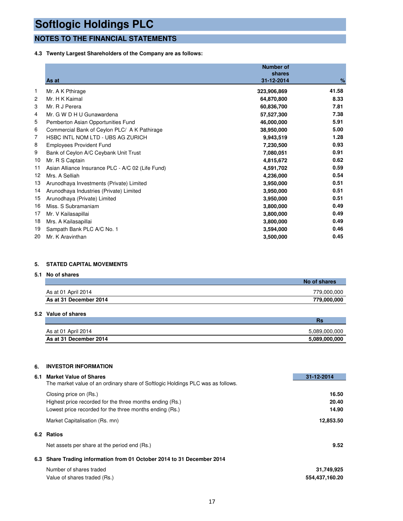### **NOTES TO THE FINANCIAL STATEMENTS**

#### **4.3 Twenty Largest Shareholders of the Company are as follows:**

|    | As at                                             | <b>Number of</b><br>shares<br>31-12-2014 | %     |
|----|---------------------------------------------------|------------------------------------------|-------|
| 1  | Mr. A K Pthirage                                  | 323,906,869                              | 41.58 |
| 2  | Mr. H K Kaimal                                    | 64,870,800                               | 8.33  |
| 3  | Mr. R J Perera                                    | 60,836,700                               | 7.81  |
| 4  | Mr. G W D H U Gunawardena                         |                                          | 7.38  |
| 5  |                                                   | 57,527,300                               | 5.91  |
|    | Pemberton Asian Opportunities Fund                | 46,000,000                               |       |
| 6  | Commercial Bank of Ceylon PLC/ A K Pathirage      | 38,950,000                               | 5.00  |
| 7  | HSBC INTL NOM LTD - UBS AG ZURICH                 | 9,943,519                                | 1.28  |
| 8  | <b>Employees Provident Fund</b>                   | 7,230,500                                | 0.93  |
| 9  | Bank of Ceylon A/C Ceybank Unit Trust             | 7,080,051                                | 0.91  |
| 10 | Mr. R S Captain                                   | 4,815,672                                | 0.62  |
| 11 | Asian Alliance Insurance PLC - A/C 02 (Life Fund) | 4,591,702                                | 0.59  |
| 12 | Mrs. A Selliah                                    | 4,236,000                                | 0.54  |
| 13 | Arunodhaya Investments (Private) Limited          | 3,950,000                                | 0.51  |
| 14 | Arunodhaya Industries (Private) Limited           | 3,950,000                                | 0.51  |
| 15 | Arunodhaya (Private) Limited                      | 3,950,000                                | 0.51  |
| 16 | Miss. S Subramaniam                               | 3,800,000                                | 0.49  |
| 17 | Mr. V Kailasapillai                               | 3,800,000                                | 0.49  |
| 18 | Mrs. A Kailasapillai                              | 3,800,000                                | 0.49  |
| 19 | Sampath Bank PLC A/C No. 1                        | 3,594,000                                | 0.46  |
| 20 | Mr. K Aravinthan                                  | 3,500,000                                | 0.45  |

#### **5. STATED CAPITAL MOVEMENTS**

**5.1 No of shares**

|                        | No of shares |
|------------------------|--------------|
| As at 01 April 2014    | 779,000,000  |
| As at 31 December 2014 | 779,000,000  |

#### **5.2 Value of shares**

|                        | нэ            |
|------------------------|---------------|
| As at 01 April 2014    | 5.089.000.000 |
| As at 31 December 2014 | 5,089,000,000 |

#### **6. INVESTOR INFORMATION**

| 6.1 | <b>Market Value of Shares</b>                                                   | 31-12-2014     |
|-----|---------------------------------------------------------------------------------|----------------|
|     | The market value of an ordinary share of Softlogic Holdings PLC was as follows. |                |
|     | Closing price on (Rs.)                                                          | 16.50          |
|     | Highest price recorded for the three months ending (Rs.)                        | 20.40          |
|     | Lowest price recorded for the three months ending (Rs.)                         | 14.90          |
|     | Market Capitalisation (Rs. mn)                                                  | 12,853.50      |
|     | 6.2 Ratios                                                                      |                |
|     | Net assets per share at the period end (Rs.)                                    | 9.52           |
|     | 6.3 Share Trading information from 01 October 2014 to 31 December 2014          |                |
|     | Number of shares traded                                                         | 31,749,925     |
|     | Value of shares traded (Rs.)                                                    | 554,437,160.20 |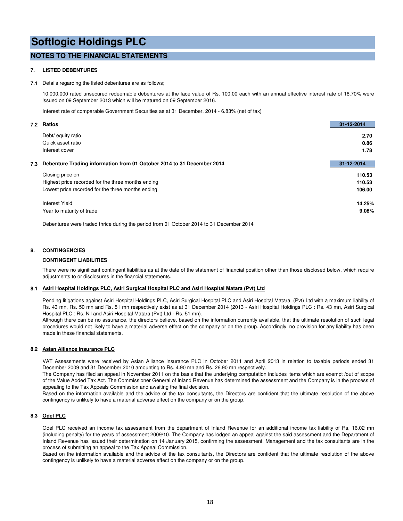### **NOTES TO THE FINANCIAL STATEMENTS**

#### **7. LISTED DEBENTURES**

#### **7.1** Details regarding the listed debentures are as follows;

10,000,000 rated unsecured redeemable debentures at the face value of Rs. 100.00 each with an annual effective interest rate of 16.70% were issued on 09 September 2013 which will be matured on 09 September 2016.

Interest rate of comparable Government Securities as at 31 December, 2014 - 6.83% (net of tax)

|     | 7.2 Ratios                                                             | 31-12-2014 |
|-----|------------------------------------------------------------------------|------------|
|     | Debt/ equity ratio                                                     | 2.70       |
|     | Quick asset ratio                                                      | 0.86       |
|     | Interest cover                                                         | 1.78       |
|     |                                                                        |            |
| 7.3 | Debenture Trading information from 01 October 2014 to 31 December 2014 | 31-12-2014 |
|     | Closing price on                                                       | 110.53     |
|     | Highest price recorded for the three months ending                     | 110.53     |
|     | Lowest price recorded for the three months ending                      | 106.00     |
|     | Interest Yield                                                         | 14.25%     |
|     | Year to maturity of trade                                              | 9.08%      |
|     |                                                                        |            |

Debentures were traded thrice during the period from 01 October 2014 to 31 December 2014

#### **8. CONTINGENCIES**

#### **CONTINGENT LIABILITIES**

There were no significant contingent liabilities as at the date of the statement of financial position other than those disclosed below, which require adjustments to or disclosures in the financial statements.

#### **8.1 Asiri Hospital Holdings PLC, Asiri Surgical Hospital PLC and Asiri Hospital Matara (Pvt) Ltd**

Pending litigations against Asiri Hospital Holdings PLC, Asiri Surgical Hospital PLC and Asiri Hospital Matara (Pvt) Ltd with a maximum liability of Rs. 43 mn, Rs. 50 mn and Rs. 51 mn respectively exist as at 31 December 2014 (2013 - Asiri Hospital Holdings PLC : Rs. 43 mn, Asiri Surgical Hospital PLC : Rs. Nil and Asiri Hospital Matara (Pvt) Ltd - Rs. 51 mn).

Although there can be no assurance, the directors believe, based on the information currently available, that the ultimate resolution of such legal procedures would not likely to have a material adverse effect on the company or on the group. Accordingly, no provision for any liability has been made in these financial statements.

#### **8.2 Asian Alliance Insurance PLC**

VAT Assessments were received by Asian Alliance Insurance PLC in October 2011 and April 2013 in relation to taxable periods ended 31 December 2009 and 31 December 2010 amounting to Rs. 4.90 mn and Rs. 26.90 mn respectively.

The Company has filed an appeal in November 2011 on the basis that the underlying computation includes items which are exempt /out of scope of the Value Added Tax Act. The Commissioner General of Inland Revenue has determined the assessment and the Company is in the process of appealing to the Tax Appeals Commission and awaiting the final decision.

Based on the information available and the advice of the tax consultants, the Directors are confident that the ultimate resolution of the above contingency is unlikely to have a material adverse effect on the company or on the group.

#### **8.3 Odel PLC**

Odel PLC received an income tax assessment from the department of Inland Revenue for an additional income tax liability of Rs. 16.02 mn (including penalty) for the years of assessment 2009/10. The Company has lodged an appeal against the said assessment and the Department of Inland Revenue has issued their determination on 14 January 2015, confirming the assessment. Management and the tax consultants are in the process of submitting an appeal to the Tax Appeal Commission.

Based on the information available and the advice of the tax consultants, the Directors are confident that the ultimate resolution of the above contingency is unlikely to have a material adverse effect on the company or on the group.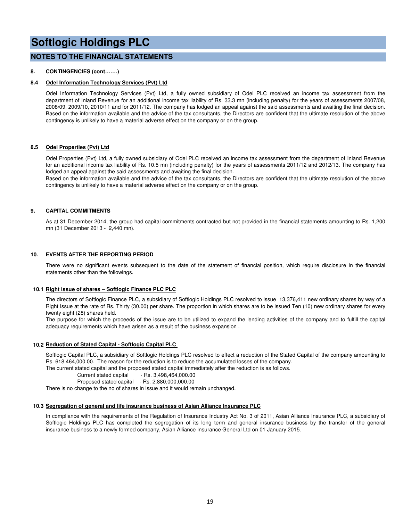#### **NOTES TO THE FINANCIAL STATEMENTS**

#### **8. CONTINGENCIES (cont…….)**

#### **8.4 Odel Information Technology Services (Pvt) Ltd**

Odel Information Technology Services (Pvt) Ltd, a fully owned subsidiary of Odel PLC received an income tax assessment from the department of Inland Revenue for an additional income tax liability of Rs. 33.3 mn (including penalty) for the years of assessments 2007/08, 2008/09, 2009/10, 2010/11 and for 2011/12. The company has lodged an appeal against the said assessments and awaiting the final decision. Based on the information available and the advice of the tax consultants, the Directors are confident that the ultimate resolution of the above contingency is unlikely to have a material adverse effect on the company or on the group.

#### **8.5 Odel Properties (Pvt) Ltd**

Odel Properties (Pvt) Ltd, a fully owned subsidiary of Odel PLC received an income tax assessment from the department of Inland Revenue for an additional income tax liability of Rs. 10.5 mn (including penalty) for the years of assessments 2011/12 and 2012/13. The company has lodged an appeal against the said assessments and awaiting the final decision.

Based on the information available and the advice of the tax consultants, the Directors are confident that the ultimate resolution of the above contingency is unlikely to have a material adverse effect on the company or on the group.

#### **9. CAPITAL COMMITMENTS**

As at 31 December 2014, the group had capital commitments contracted but not provided in the financial statements amounting to Rs. 1,200 mn (31 December 2013 - 2,440 mn).

#### **10. EVENTS AFTER THE REPORTING PERIOD**

There were no significant events subsequent to the date of the statement of financial position, which require disclosure in the financial statements other than the followings.

#### **10.1 Right issue of shares – Softlogic Finance PLC PLC**

The directors of Softlogic Finance PLC, a subsidiary of Softlogic Holdings PLC resolved to issue 13,376,411 new ordinary shares by way of a Right Issue at the rate of Rs. Thirty (30.00) per share. The proportion in which shares are to be issued Ten (10) new ordinary shares for every twenty eight (28) shares held.

The purpose for which the proceeds of the issue are to be utilized to expand the lending activities of the company and to fulfill the capital adequacy requirements which have arisen as a result of the business expansion .

#### **10.2 Reduction of Stated Capital - Softlogic Capital PLC**

Softlogic Capital PLC, a subsidiary of Softlogic Holdings PLC resolved to effect a reduction of the Stated Capital of the company amounting to Rs. 618,464,000.00. The reason for the reduction is to reduce the accumulated losses of the company.

The current stated capital and the proposed stated capital immediately after the reduction is as follows.

Current stated capital - Rs. 3,498,464,000.00

Proposed stated capital - Rs. 2,880,000,000.00

There is no change to the no of shares in issue and it would remain unchanged.

#### **10.3 Segregation of general and life insurance business of Asian Alliance Insurance PLC**

In compliance with the requirements of the Regulation of Insurance Industry Act No. 3 of 2011, Asian Alliance Insurance PLC, a subsidiary of Softlogic Holdings PLC has completed the segregation of its long term and general insurance business by the transfer of the general insurance business to a newly formed company, Asian Alliance Insurance General Ltd on 01 January 2015.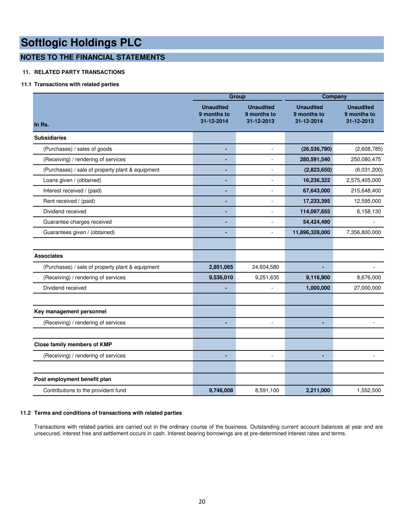### **NOTES TO THE FINANCIAL STATEMENTS**

#### **11. RELATED PARTY TRANSACTIONS**

#### **11.1 Transactions with related parties**

|                                                  |                                               | <b>Group</b>                                  | Company                                       |                                               |  |  |
|--------------------------------------------------|-----------------------------------------------|-----------------------------------------------|-----------------------------------------------|-----------------------------------------------|--|--|
| In Rs.                                           | <b>Unaudited</b><br>9 months to<br>31-12-2014 | <b>Unaudited</b><br>9 months to<br>31-12-2013 | <b>Unaudited</b><br>9 months to<br>31-12-2014 | <b>Unaudited</b><br>9 months to<br>31-12-2013 |  |  |
| <b>Subsidiaries</b>                              |                                               |                                               |                                               |                                               |  |  |
| (Purchases) / sales of goods                     |                                               | ä,                                            | (26, 536, 790)                                | (2,608,785)                                   |  |  |
| (Receiving) / rendering of services              | ٠                                             | ÷,                                            | 280,591,540                                   | 250,080,475                                   |  |  |
| (Purchases) / sale of property plant & equipment |                                               | $\overline{a}$                                | (2,823,650)                                   | (6,031,200)                                   |  |  |
| Loans given / (obtained)                         |                                               |                                               | 16,236,322                                    | 2,575,405,000                                 |  |  |
| Interest received / (paid)                       | ٠                                             | $\overline{a}$                                | 67,643,000                                    | 215,648,400                                   |  |  |
| Rent received / (paid)                           | ä,                                            | $\bar{a}$                                     | 17,233,395                                    | 12,595,000                                    |  |  |
| Dividend received                                | ٠                                             | ÷,                                            | 114,097,655                                   | 6,158,130                                     |  |  |
| Guarantee charges received                       |                                               |                                               | 54,424,490                                    |                                               |  |  |
| Guarantees given / (obtained)                    | ٠                                             | $\blacksquare$                                | 11,896,328,000                                | 7,356,800,000                                 |  |  |
| <b>Associates</b>                                |                                               |                                               |                                               |                                               |  |  |
| (Purchases) / sale of property plant & equipment | 2,851,065                                     | 24,604,580                                    |                                               |                                               |  |  |
| (Receiving) / rendering of services              | 9,536,010                                     | 9,251,635                                     | 9,116,900                                     | 8,676,000                                     |  |  |
| Dividend received                                |                                               | ÷,                                            | 1,000,000                                     | 27,000,000                                    |  |  |
| Key management personnel                         |                                               |                                               |                                               |                                               |  |  |
| (Receiving) / rendering of services              | ٠                                             | $\sim$                                        |                                               |                                               |  |  |
| Close family members of KMP                      |                                               |                                               |                                               |                                               |  |  |
| (Receiving) / rendering of services              |                                               | $\overline{a}$                                |                                               |                                               |  |  |
| Post employment benefit plan                     |                                               |                                               |                                               |                                               |  |  |
| Contributions to the provident fund              | 9,746,008                                     | 8,591,100                                     | 2,211,000                                     | 1,552,500                                     |  |  |

#### **11.2 Terms and conditions of transactions with related parties**

Transactions with related parties are carried out in the ordinary course of the business. Outstanding current account balances at year end are unsecured, interest free and settlement occurs in cash. Interest bearing borrowings are at pre-determined interest rates and terms.